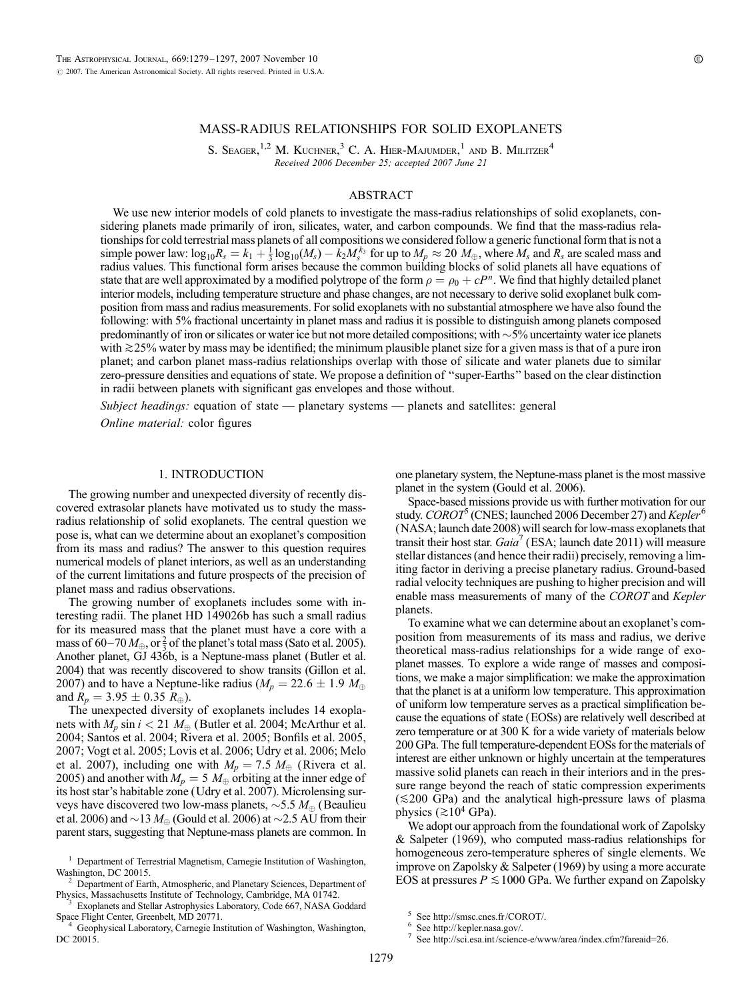# MASS-RADIUS RELATIONSHIPS FOR SOLID EXOPLANETS

S. SEAGER,<sup>1,2</sup> M. KUCHNER,<sup>3</sup> C. A. HIER-MAJUMDER,<sup>1</sup> AND B. MILITZER<sup>4</sup> Received 2006 December 25; accepted 2007 June 21

### ABSTRACT

We use new interior models of cold planets to investigate the mass-radius relationships of solid exoplanets, considering planets made primarily of iron, silicates, water, and carbon compounds. We find that the mass-radius relationships for cold terrestrial mass planets of all compositions we considered follow a generic functional form that is not a simple power law:  $\log_{10} R_s = k_1 + \frac{1}{3} \log_{10} (M_s) - k_2 M_s^{k_3}$  for up to  $M_p \approx 20 M_{\oplus}$ , where  $M_s$  and  $R_s$  are scaled mass and radius values. This functional form arises because the common building blocks of solid planets all have equations of state that are well approximated by a modified polytrope of the form  $\rho = \rho_0 + cP^n$ . We find that highly detailed planet interior models, including temperature structure and phase changes, are not necessary to derive solid exoplanet bulk composition from mass and radius measurements. For solid exoplanets with no substantial atmosphere we have also found the following: with 5% fractional uncertainty in planet mass and radius it is possible to distinguish among planets composed predominantly of iron or silicates or water ice but not more detailed compositions; with  $\sim$ 5% uncertainty water ice planets with  $\gtrsim$  25% water by mass may be identified; the minimum plausible planet size for a given mass is that of a pure iron planet; and carbon planet mass-radius relationships overlap with those of silicate and water planets due to similar zero-pressure densities and equations of state. We propose a definition of ''super-Earths'' based on the clear distinction in radii between planets with significant gas envelopes and those without.

Subject headings: equation of state - planetary systems - planets and satellites: general Online material: color figures

# 1. INTRODUCTION

The growing number and unexpected diversity of recently discovered extrasolar planets have motivated us to study the massradius relationship of solid exoplanets. The central question we pose is, what can we determine about an exoplanet's composition from its mass and radius? The answer to this question requires numerical models of planet interiors, as well as an understanding of the current limitations and future prospects of the precision of planet mass and radius observations.

The growing number of exoplanets includes some with interesting radii. The planet HD 149026b has such a small radius for its measured mass that the planet must have a core with a mass of 60–70  $M_{\oplus}$ , or  $\frac{2}{3}$  of the planet's total mass (Sato et al. 2005). Another planet, GJ 436b, is a Neptune-mass planet (Butler et al. 2004) that was recently discovered to show transits (Gillon et al. 2007) and to have a Neptune-like radius ( $M_p = 22.6 \pm 1.9$   $M_\oplus$ and  $R_p = 3.95 \pm 0.35 R_{\oplus}$ ).

The unexpected diversity of exoplanets includes 14 exoplanets with  $M_p \sin i < 21 M_{\oplus}$  (Butler et al. 2004; McArthur et al. 2004; Santos et al. 2004; Rivera et al. 2005; Bonfils et al. 2005, 2007; Vogt et al. 2005; Lovis et al. 2006; Udry et al. 2006; Melo et al. 2007), including one with  $M_p = 7.5 M_{\oplus}$  (Rivera et al. 2005) and another with  $M_p = 5 M_{\oplus}$  orbiting at the inner edge of its host star's habitable zone (Udry et al. 2007). Microlensing surveys have discovered two low-mass planets,  $\sim$  5.5  $M_{\oplus}$  (Beaulieu et al. 2006) and  $\sim$ 13  $M_{\odot}$  (Gould et al. 2006) at  $\sim$ 2.5 AU from their parent stars, suggesting that Neptune-mass planets are common. In

Exoplanets and Stellar Astrophysics Laboratory, Code 667, NASA Goddard Space Flight Center, Greenbelt, MD 20771. <sup>4</sup> Geophysical Laboratory, Carnegie Institution of Washington, Washington,

DC 20015.

one planetary system, the Neptune-mass planet is the most massive planet in the system (Gould et al. 2006).

Space-based missions provide us with further motivation for our study. COROT<sup>o</sup> (CNES; launched 2006 December 27) and Kepler<sup>6</sup> (NASA; launch date 2008) will search for low-mass exoplanets that transit their host star.  $Gaia'$  (ESA; launch date 2011) will measure stellar distances (and hence their radii) precisely, removing a limiting factor in deriving a precise planetary radius. Ground-based radial velocity techniques are pushing to higher precision and will enable mass measurements of many of the COROT and Kepler planets.

To examine what we can determine about an exoplanet's composition from measurements of its mass and radius, we derive theoretical mass-radius relationships for a wide range of exoplanet masses. To explore a wide range of masses and compositions, we make a major simplification: we make the approximation that the planet is at a uniform low temperature. This approximation of uniform low temperature serves as a practical simplification because the equations of state (EOSs) are relatively well described at zero temperature or at 300 K for a wide variety of materials below 200 GPa. The full temperature-dependent EOSs for the materials of interest are either unknown or highly uncertain at the temperatures massive solid planets can reach in their interiors and in the pressure range beyond the reach of static compression experiments  $(\leq 200 \text{ GPa})$  and the analytical high-pressure laws of plasma physics ( $\gtrsim$ 10<sup>4</sup> GPa).

We adopt our approach from the foundational work of Zapolsky & Salpeter (1969), who computed mass-radius relationships for homogeneous zero-temperature spheres of single elements. We improve on Zapolsky & Salpeter (1969) by using a more accurate EOS at pressures  $P \le 1000$  GPa. We further expand on Zapolsky

<sup>&</sup>lt;sup>1</sup> Department of Terrestrial Magnetism, Carnegie Institution of Washington,<br>Washington, DC 20015.<br><sup>2</sup> Department of Farth, Atmospheric and Planeters Sciences D

 $2$  Department of Earth, Atmospheric, and Planetary Sciences, Department of Physics, Massachusetts Institute of Technology, Cambridge, MA 01742.

<sup>&</sup>lt;sup>5</sup> See http://smsc.cnes.fr/COROT/.<br>
<sup>6</sup> See http://kepler.nasa.gov/.<br>
<sup>7</sup> See http://sci.esa.int/science-e/www/area/index.cfm?fareaid=26.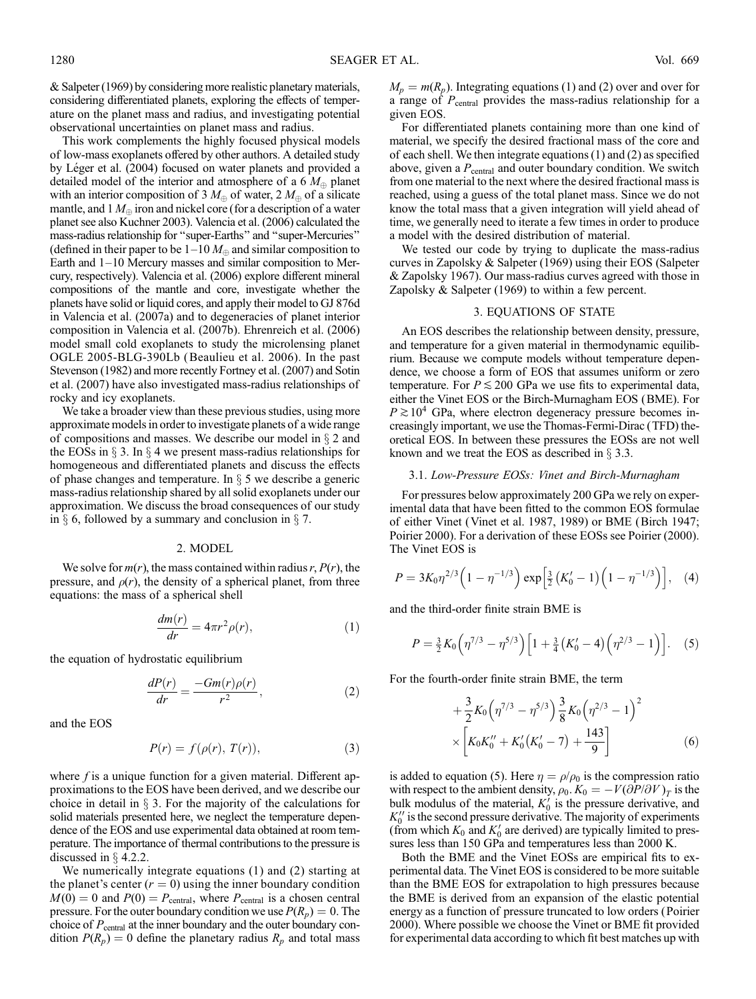& Salpeter (1969) by considering more realistic planetary materials, considering differentiated planets, exploring the effects of temperature on the planet mass and radius, and investigating potential observational uncertainties on planet mass and radius.

This work complements the highly focused physical models of low-mass exoplanets offered by other authors. A detailed study by Léger et al. (2004) focused on water planets and provided a detailed model of the interior and atmosphere of a 6  $M_{\oplus}$  planet with an interior composition of 3  $M_{\oplus}$  of water, 2  $M_{\oplus}$  of a silicate mantle, and 1  $M_{\oplus}$  iron and nickel core (for a description of a water planet see also Kuchner 2003). Valencia et al. (2006) calculated the mass-radius relationship for ''super-Earths'' and ''super-Mercuries'' (defined in their paper to be  $1-10 M_{\oplus}$  and similar composition to Earth and  $1-10$  Mercury masses and similar composition to Mercury, respectively). Valencia et al. (2006) explore different mineral compositions of the mantle and core, investigate whether the planets have solid or liquid cores, and apply their model to GJ 876d in Valencia et al. (2007a) and to degeneracies of planet interior composition in Valencia et al. (2007b). Ehrenreich et al. (2006) model small cold exoplanets to study the microlensing planet OGLE 2005-BLG-390Lb (Beaulieu et al. 2006). In the past Stevenson (1982) and more recently Fortney et al. (2007) and Sotin et al. (2007) have also investigated mass-radius relationships of rocky and icy exoplanets.

We take a broader view than these previous studies, using more approximate models in order to investigate planets of a wide range of compositions and masses. We describe our model in  $\S 2$  and the EOSs in  $\S 3$ . In  $\S 4$  we present mass-radius relationships for homogeneous and differentiated planets and discuss the effects of phase changes and temperature. In  $\S$  5 we describe a generic mass-radius relationship shared by all solid exoplanets under our approximation. We discuss the broad consequences of our study in  $\S$  6, followed by a summary and conclusion in  $\S$  7.

### 2. MODEL

We solve for  $m(r)$ , the mass contained within radius r,  $P(r)$ , the pressure, and  $\rho(r)$ , the density of a spherical planet, from three equations: the mass of a spherical shell

$$
\frac{dm(r)}{dr} = 4\pi r^2 \rho(r),\tag{1}
$$

the equation of hydrostatic equilibrium

$$
\frac{dP(r)}{dr} = \frac{-Gm(r)\rho(r)}{r^2},\tag{2}
$$

and the EOS

$$
P(r) = f(\rho(r), T(r)),\tag{3}
$$

where  $f$  is a unique function for a given material. Different approximations to the EOS have been derived, and we describe our choice in detail in  $\S$  3. For the majority of the calculations for solid materials presented here, we neglect the temperature dependence of the EOS and use experimental data obtained at room temperature. The importance of thermal contributions to the pressure is discussed in  $\S$  4.2.2.

We numerically integrate equations (1) and (2) starting at the planet's center  $(r = 0)$  using the inner boundary condition  $M(0) = 0$  and  $P(0) = P_{\text{central}}$ , where  $P_{\text{central}}$  is a chosen central pressure. For the outer boundary condition we use  $P(R_p) = 0$ . The choice of  $P_{\text{central}}$  at the inner boundary and the outer boundary condition  $P(R_p) = 0$  define the planetary radius  $R_p$  and total mass

 $M_p = m(R_p)$ . Integrating equations (1) and (2) over and over for a range of  $P_{\text{central}}$  provides the mass-radius relationship for a given EOS.

For differentiated planets containing more than one kind of material, we specify the desired fractional mass of the core and of each shell. We then integrate equations (1) and (2) as specified above, given a  $P_{\text{central}}$  and outer boundary condition. We switch from one material to the next where the desired fractional mass is reached, using a guess of the total planet mass. Since we do not know the total mass that a given integration will yield ahead of time, we generally need to iterate a few times in order to produce a model with the desired distribution of material.

We tested our code by trying to duplicate the mass-radius curves in Zapolsky & Salpeter (1969) using their EOS (Salpeter & Zapolsky 1967). Our mass-radius curves agreed with those in Zapolsky & Salpeter (1969) to within a few percent.

### 3. EQUATIONS OF STATE

An EOS describes the relationship between density, pressure, and temperature for a given material in thermodynamic equilibrium. Because we compute models without temperature dependence, we choose a form of EOS that assumes uniform or zero temperature. For  $P \le 200$  GPa we use fits to experimental data, either the Vinet EOS or the Birch-Murnagham EOS (BME). For  $P \gtrsim 10^4$  GPa, where electron degeneracy pressure becomes increasingly important, we use the Thomas-Fermi-Dirac (TFD) theoretical EOS. In between these pressures the EOSs are not well known and we treat the EOS as described in  $\S 3.3$ .

#### 3.1. Low-Pressure EOSs: Vinet and Birch-Murnagham

For pressures below approximately 200 GPa we rely on experimental data that have been fitted to the common EOS formulae of either Vinet (Vinet et al. 1987, 1989) or BME (Birch 1947; Poirier 2000). For a derivation of these EOSs see Poirier (2000). The Vinet EOS is

$$
P = 3K_0 \eta^{2/3} \left( 1 - \eta^{-1/3} \right) \exp \left[ \frac{3}{2} \left( K_0' - 1 \right) \left( 1 - \eta^{-1/3} \right) \right], \quad (4)
$$

and the third-order finite strain BME is

$$
P = \frac{3}{2} K_0 \left( \eta^{7/3} - \eta^{5/3} \right) \left[ 1 + \frac{3}{4} \left( K_0' - 4 \right) \left( \eta^{2/3} - 1 \right) \right]. \tag{5}
$$

For the fourth-order finite strain BME, the term

$$
+\frac{3}{2}K_0\left(\eta^{7/3}-\eta^{5/3}\right)\frac{3}{8}K_0\left(\eta^{2/3}-1\right)^2
$$
  
\$\times \left[K\_0K\_0''+K\_0'(K\_0'-7)+\frac{143}{9}\right] (6)

is added to equation (5). Here  $\eta = \rho/\rho_0$  is the compression ratio with respect to the ambient density,  $\rho_0$ .  $K_0 = -V(\partial P/\partial V)_T$  is the bulk modulus of the material,  $K_0'$  is the pressure derivative, and  $K_0''$  is the second pressure derivative. The majority of experiments (from which  $K_0$  and  $K'_0$  are derived) are typically limited to pressures less than 150 GPa and temperatures less than 2000 K.

Both the BME and the Vinet EOSs are empirical fits to experimental data. The Vinet EOS is considered to be more suitable than the BME EOS for extrapolation to high pressures because the BME is derived from an expansion of the elastic potential energy as a function of pressure truncated to low orders (Poirier 2000). Where possible we choose the Vinet or BME fit provided for experimental data according to which fit best matches up with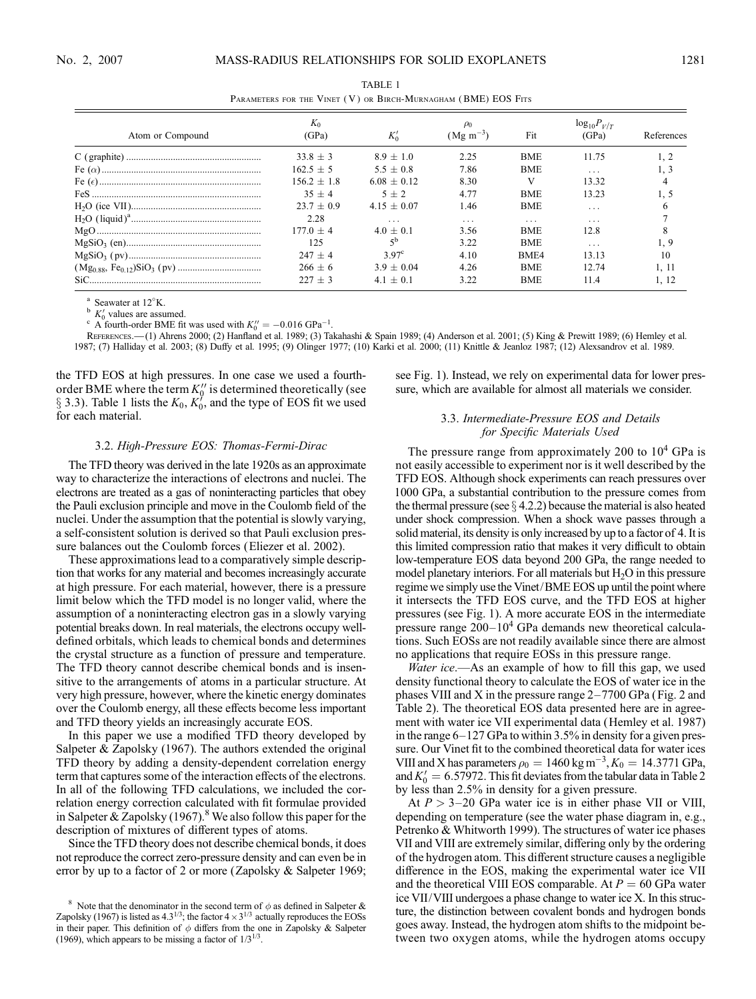| Atom or Compound | $K_0$<br>(GPa) | $K_0'$         | $(Mg \, \text{m}^{-3})$ | Fit        | $log_{10}P_{V/T}$<br>(GPa) | References |
|------------------|----------------|----------------|-------------------------|------------|----------------------------|------------|
|                  | $33.8 + 3$     | $8.9 + 1.0$    | 2.25                    | <b>BME</b> | 11.75                      |            |
|                  | $162.5 + 5$    | $5.5 + 0.8$    | 7.86                    | <b>BME</b> | $\cdots$                   | 1, 3       |
|                  | $156.2 + 1.8$  | $6.08 + 0.12$  | 8.30                    | V          | 13.32                      |            |
|                  | $35 + 4$       | $5 + 2$        | 4.77                    | <b>BME</b> | 13.23                      |            |
|                  | $23.7 + 0.9$   | $4.15 + 0.07$  | 1.46                    | <b>BME</b> | .                          |            |
|                  | 2.28           | .              | .                       | $\cdot$    | $\cdots$                   |            |
|                  | $177.0 + 4$    | $4.0 + 0.1$    | 3.56                    | <b>BME</b> | 12.8                       |            |
|                  | 125            |                | 3.22                    | <b>BME</b> | $\cdot$ .                  | 1, 9       |
|                  | $247 + 4$      | $3.97^{\circ}$ | 4.10                    | BME4       | 13.13                      | 10         |
|                  | $266 + 6$      | $3.9 + 0.04$   | 4.26                    | <b>BME</b> | 12.74                      | 1.11       |
|                  | $227 + 3$      | $4.1 \pm 0.1$  | 3.22                    | <b>BME</b> | 11.4                       | l. 12      |

TABLE 1 PARAMETERS FOR THE VINET (V) OR BIRCH-MURNAGHAM (BME) EOS FITS

Seawater at 12°K.

 $K_0$  values are assumed.

<sup>o</sup> K<sub>0</sub>' values are assumed.<br>A fourth-order BME fit was used with  $K_0'' = -0.016 \text{ GPa}^{-1}$ .

References.—(1) Ahrens 2000; (2) Hanfland et al. 1989; (3) Takahashi & Spain 1989; (4) Anderson et al. 2001; (5) King & Prewitt 1989; (6) Hemley et al. 1987; (7) Halliday et al. 2003; (8) Duffy et al. 1995; (9) Olinger 1977; (10) Karki et al. 2000; (11) Knittle & Jeanloz 1987; (12) Alexsandrov et al. 1989.

the TFD EOS at high pressures. In one case we used a fourthorder BME where the term  $K_0''$  is determined theoretically (see  $\S$  3.3). Table 1 lists the  $K_0$ ,  $K'_0$ , and the type of EOS fit we used for each material.

#### 3.2. High-Pressure EOS: Thomas-Fermi-Dirac

The TFD theory was derived in the late 1920s as an approximate way to characterize the interactions of electrons and nuclei. The electrons are treated as a gas of noninteracting particles that obey the Pauli exclusion principle and move in the Coulomb field of the nuclei. Under the assumption that the potential is slowly varying, a self-consistent solution is derived so that Pauli exclusion pressure balances out the Coulomb forces (Eliezer et al. 2002).

These approximations lead to a comparatively simple description that works for any material and becomes increasingly accurate at high pressure. For each material, however, there is a pressure limit below which the TFD model is no longer valid, where the assumption of a noninteracting electron gas in a slowly varying potential breaks down. In real materials, the electrons occupy welldefined orbitals, which leads to chemical bonds and determines the crystal structure as a function of pressure and temperature. The TFD theory cannot describe chemical bonds and is insensitive to the arrangements of atoms in a particular structure. At very high pressure, however, where the kinetic energy dominates over the Coulomb energy, all these effects become less important and TFD theory yields an increasingly accurate EOS.

In this paper we use a modified TFD theory developed by Salpeter & Zapolsky (1967). The authors extended the original TFD theory by adding a density-dependent correlation energy term that captures some of the interaction effects of the electrons. In all of the following TFD calculations, we included the correlation energy correction calculated with fit formulae provided in Salpeter & Zapolsky  $(1967)$ .<sup>8</sup> We also follow this paper for the description of mixtures of different types of atoms.

Since the TFD theory does not describe chemical bonds, it does not reproduce the correct zero-pressure density and can even be in error by up to a factor of 2 or more (Zapolsky & Salpeter 1969; see Fig. 1). Instead, we rely on experimental data for lower pressure, which are available for almost all materials we consider.

### 3.3. Intermediate-Pressure EOS and Details for Specific Materials Used

The pressure range from approximately 200 to  $10<sup>4</sup>$  GPa is not easily accessible to experiment nor is it well described by the TFD EOS. Although shock experiments can reach pressures over 1000 GPa, a substantial contribution to the pressure comes from the thermal pressure (see  $\S$  4.2.2) because the material is also heated under shock compression. When a shock wave passes through a solid material, its density is only increased by up to a factor of 4. It is this limited compression ratio that makes it very difficult to obtain low-temperature EOS data beyond 200 GPa, the range needed to model planetary interiors. For all materials but  $H_2O$  in this pressure regime we simply use the Vinet/BME EOS up until the point where it intersects the TFD EOS curve, and the TFD EOS at higher pressures (see Fig. 1). A more accurate EOS in the intermediate pressure range  $200-10^4$  GPa demands new theoretical calculations. Such EOSs are not readily available since there are almost no applications that require EOSs in this pressure range.

*Water ice*.—As an example of how to fill this gap, we used density functional theory to calculate the EOS of water ice in the phases VIII and X in the pressure range  $2-7700$  GPa (Fig. 2 and Table 2). The theoretical EOS data presented here are in agreement with water ice VII experimental data (Hemley et al. 1987) in the range  $6-127$  GPa to within 3.5% in density for a given pressure. Our Vinet fit to the combined theoretical data for water ices VIII and X has parameters  $\rho_0 = 1460 \text{ kg m}^{-3}$ ,  $K_0 = 14.3771 \text{ GPa}$ , and  $K'_0 = 6.57972$ . This fit deviates from the tabular data in Table 2 by less than 2.5% in density for a given pressure.

At  $P > 3-20$  GPa water ice is in either phase VII or VIII, depending on temperature (see the water phase diagram in, e.g., Petrenko & Whitworth 1999). The structures of water ice phases VII and VIII are extremely similar, differing only by the ordering of the hydrogen atom. This different structure causes a negligible difference in the EOS, making the experimental water ice VII and the theoretical VIII EOS comparable. At  $P = 60$  GPa water ice VII/VIII undergoes a phase change to water ice X. In this structure, the distinction between covalent bonds and hydrogen bonds goes away. Instead, the hydrogen atom shifts to the midpoint between two oxygen atoms, while the hydrogen atoms occupy

<sup>&</sup>lt;sup>8</sup> Note that the denominator in the second term of  $\phi$  as defined in Salpeter & Zapolsky (1967) is listed as  $4.3^{1/3}$ ; the factor  $4 \times 3^{1/3}$  actually reproduces the EOSs in their paper. This definition of  $\phi$  differs from the one in Zapolsky & Salpeter (1969), which appears to be missing a factor of  $1/3^{1/3}$ .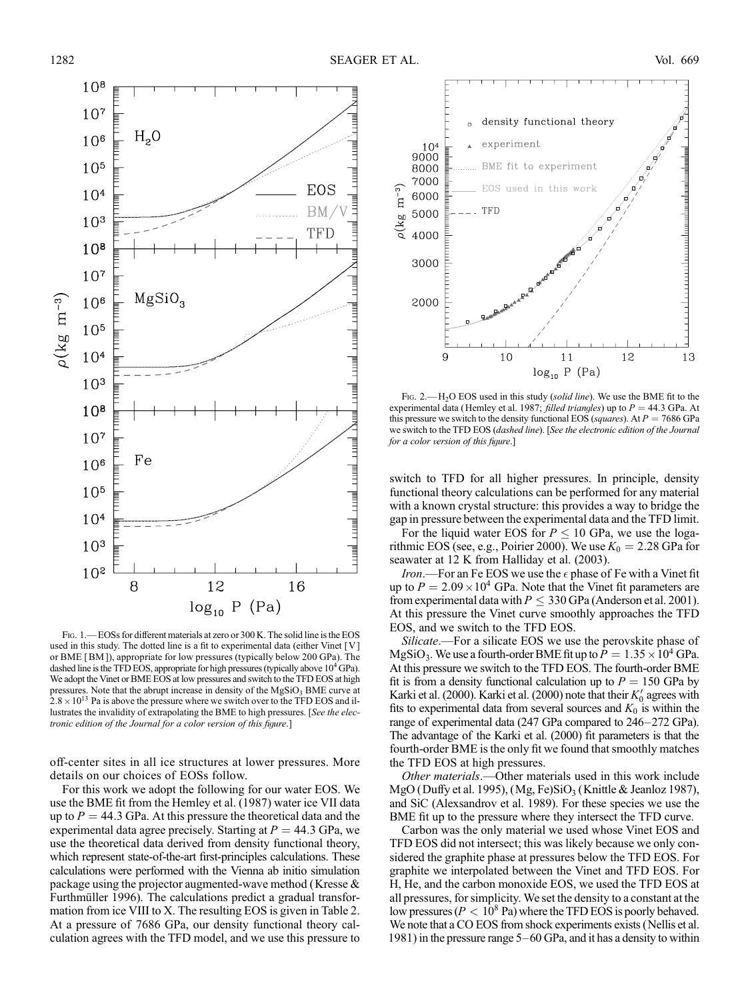

FIG. 1. - EOSs for different materials at zero or 300 K. The solid line is the EOS used in this study. The dotted line is a fit to experimental data (either Vinet [V ] or BME [BM ]), appropriate for low pressures (typically below 200 GPa). The dashed line is the TFD EOS, appropriate for high pressures (typically above  $10^4$  GPa). We adopt the Vinet or BME EOS at low pressures and switch to the TFD EOS at high pressures. Note that the abrupt increase in density of the  $MgSiO<sub>3</sub>$  BME curve at  $2.8 \times 10^{13}$  Pa is above the pressure where we switch over to the TFD EOS and illustrates the invalidity of extrapolating the BME to high pressures. [See the electronic edition of the Journal for a color version of this figure.]

off-center sites in all ice structures at lower pressures. More details on our choices of EOSs follow.

For this work we adopt the following for our water EOS. We use the BME fit from the Hemley et al. (1987) water ice VII data up to  $P = 44.3$  GPa. At this pressure the theoretical data and the experimental data agree precisely. Starting at  $P = 44.3$  GPa, we use the theoretical data derived from density functional theory, which represent state-of-the-art first-principles calculations. These calculations were performed with the Vienna ab initio simulation package using the projector augmented-wave method (Kresse & Furthmüller 1996). The calculations predict a gradual transformation from ice VIII to X. The resulting EOS is given in Table 2. At a pressure of 7686 GPa, our density functional theory calculation agrees with the TFD model, and we use this pressure to



Fig. 2.—H<sub>2</sub>O EOS used in this study (*solid line*). We use the BME fit to the experimental data (Hemley et al. 1987; *filled triangles*) up to  $P = 44.3$  GPa. At this pressure we switch to the density functional EOS (squares). At  $P = 7686$  GPa we switch to the TFD EOS (dashed line). [See the electronic edition of the Journal for a color version of this figure.]

switch to TFD for all higher pressures. In principle, density functional theory calculations can be performed for any material with a known crystal structure: this provides a way to bridge the gap in pressure between the experimental data and the TFD limit.

For the liquid water EOS for  $P \le 10$  GPa, we use the logarithmic EOS (see, e.g., Poirier 2000). We use  $K_0 = 2.28$  GPa for seawater at 12 K from Halliday et al. (2003).

Iron.—For an Fe EOS we use the  $\epsilon$  phase of Fe with a Vinet fit up to  $P = 2.09 \times 10^4$  GPa. Note that the Vinet fit parameters are from experimental data with  $P \leq 330$  GPa (Anderson et al. 2001). At this pressure the Vinet curve smoothly approaches the TFD EOS, and we switch to the TFD EOS.

Silicate.—For a silicate EOS we use the perovskite phase of MgSiO<sub>3</sub>. We use a fourth-order BME fit up to  $P = 1.35 \times 10^4$  GPa. At this pressure we switch to the TFD EOS. The fourth-order BME fit is from a density functional calculation up to  $P = 150$  GPa by Karki et al. (2000). Karki et al. (2000) note that their  $K'_0$  agrees with fits to experimental data from several sources and  $K_0$  is within the range of experimental data (247 GPa compared to 246-272 GPa). The advantage of the Karki et al. (2000) fit parameters is that the fourth-order BME is the only fit we found that smoothly matches the TFD EOS at high pressures.

Other materials.—Other materials used in this work include MgO (Duffy et al. 1995), (Mg, Fe)SiO<sub>3</sub> (Knittle & Jeanloz 1987), and SiC (Alexsandrov et al. 1989). For these species we use the BME fit up to the pressure where they intersect the TFD curve.

Carbon was the only material we used whose Vinet EOS and TFD EOS did not intersect; this was likely because we only considered the graphite phase at pressures below the TFD EOS. For graphite we interpolated between the Vinet and TFD EOS. For H, He, and the carbon monoxide EOS, we used the TFD EOS at all pressures, for simplicity. We set the density to a constant at the low pressures ( $P < 10<sup>8</sup>$  Pa) where the TFD EOS is poorly behaved. We note that a CO EOS from shock experiments exists (Nellis et al. 1981) in the pressure range  $5-60$  GPa, and it has a density to within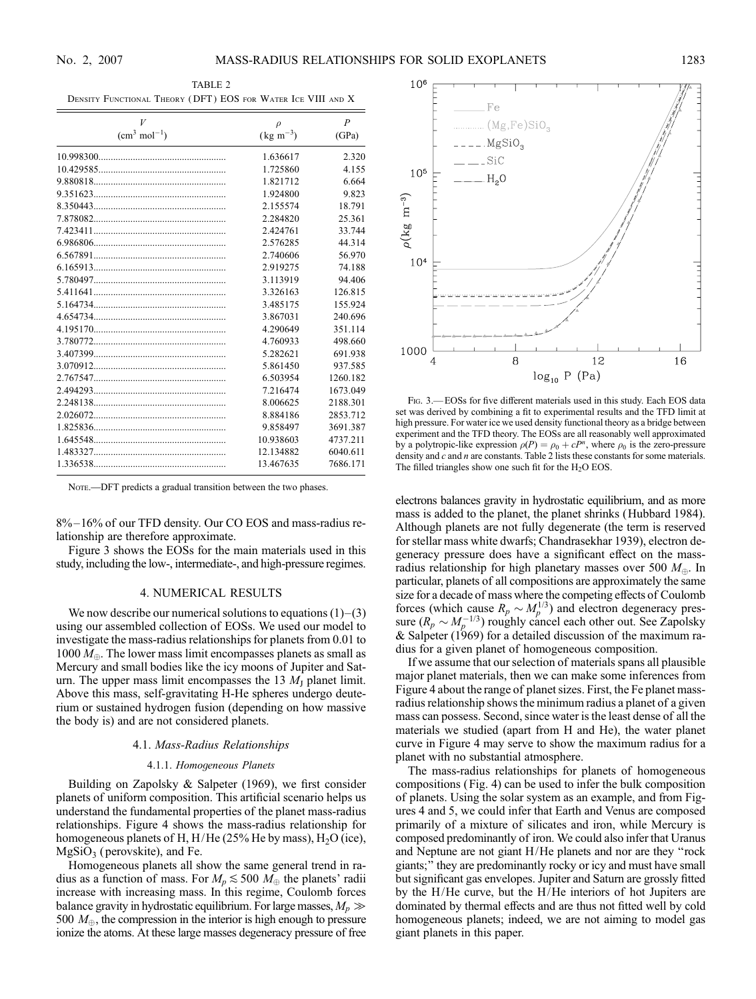TABLE 2 Density Functional Theory ( DFT ) EOS for Water Ice VIII and X

| V             | $\rho$               | $\boldsymbol{P}$ |
|---------------|----------------------|------------------|
| $(cm3 mol-1)$ | $(\text{kg m}^{-3})$ | (GPa)            |
|               | 1.636617             | 2.320            |
|               | 1.725860             | 4.155            |
|               | 1.821712             | 6.664            |
|               | 1.924800             | 9.823            |
|               | 2.155574             | 18.791           |
|               | 2.284820             | 25.361           |
|               | 2.424761             | 33.744           |
|               | 2.576285             | 44.314           |
|               | 2.740606             | 56.970           |
|               | 2.919275             | 74.188           |
|               | 3.113919             | 94.406           |
|               | 3.326163             | 126.815          |
| 5.164734.     | 3.485175             | 155.924          |
|               | 3.867031             | 240.696          |
|               | 4.290649             | 351.114          |
|               | 4.760933             | 498.660          |
|               | 5.282621             | 691.938          |
|               | 5.861450             | 937.585          |
|               | 6.503954             | 1260.182         |
|               | 7.216474             | 1673.049         |
| 2.248138.     | 8.006625             | 2188.301         |
|               | 8.884186             | 2853.712         |
|               | 9.858497             | 3691.387         |
|               | 10.938603            | 4737.211         |
| 1.483327.     | 12.134882            | 6040.611         |
|               | 13.467635            | 7686.171         |

NOTE.—DFT predicts a gradual transition between the two phases.

8%-16% of our TFD density. Our CO EOS and mass-radius relationship are therefore approximate.

Figure 3 shows the EOSs for the main materials used in this study, including the low-, intermediate-, and high-pressure regimes.

#### 4. NUMERICAL RESULTS

We now describe our numerical solutions to equations  $(1)-(3)$ using our assembled collection of EOSs. We used our model to investigate the mass-radius relationships for planets from 0.01 to 1000  $M_{\oplus}$ . The lower mass limit encompasses planets as small as Mercury and small bodies like the icy moons of Jupiter and Saturn. The upper mass limit encompasses the 13  $M<sub>J</sub>$  planet limit. Above this mass, self-gravitating H-He spheres undergo deuterium or sustained hydrogen fusion (depending on how massive the body is) and are not considered planets.

#### 4.1. Mass-Radius Relationships

#### 4.1.1. Homogeneous Planets

Building on Zapolsky & Salpeter (1969), we first consider planets of uniform composition. This artificial scenario helps us understand the fundamental properties of the planet mass-radius relationships. Figure 4 shows the mass-radius relationship for homogeneous planets of H,  $H/He$  (25% He by mass),  $H_2O$  (ice),  $MgSiO<sub>3</sub>$  (perovskite), and Fe.

Homogeneous planets all show the same general trend in radius as a function of mass. For  $M_p \lesssim 500$   $M_\oplus$  the planets' radii increase with increasing mass. In this regime, Coulomb forces balance gravity in hydrostatic equilibrium. For large masses,  $M_p \gg$ 500  $M_{\oplus}$ , the compression in the interior is high enough to pressure ionize the atoms. At these large masses degeneracy pressure of free



Fig. 3.— EOSs for five different materials used in this study. Each EOS data set was derived by combining a fit to experimental results and the TFD limit at high pressure. For water ice we used density functional theory as a bridge between experiment and the TFD theory. The EOSs are all reasonably well approximated by a polytropic-like expression  $\rho(P) = \rho_0 + cP^n$ , where  $\rho_0$  is the zero-pressure density and c and n are constants. Table 2 lists these constants for some materials. The filled triangles show one such fit for the  $H_2O$  EOS.

electrons balances gravity in hydrostatic equilibrium, and as more mass is added to the planet, the planet shrinks (Hubbard 1984). Although planets are not fully degenerate (the term is reserved for stellar mass white dwarfs; Chandrasekhar 1939), electron degeneracy pressure does have a significant effect on the massradius relationship for high planetary masses over 500  $M_{\oplus}$ . In particular, planets of all compositions are approximately the same size for a decade of mass where the competing effects of Coulomb forces (which cause  $R_p \sim M_p^{1/3}$ ) and electron degeneracy pressure  $(R_p \sim M_p^{-1/3})$  roughly cancel each other out. See Zapolsky & Salpeter (1969) for a detailed discussion of the maximum radius for a given planet of homogeneous composition.

If we assume that our selection of materials spans all plausible major planet materials, then we can make some inferences from Figure 4 about the range of planet sizes. First, the Fe planet massradius relationship shows the minimum radius a planet of a given mass can possess. Second, since water is the least dense of all the materials we studied (apart from H and He), the water planet curve in Figure 4 may serve to show the maximum radius for a planet with no substantial atmosphere.

The mass-radius relationships for planets of homogeneous compositions (Fig. 4) can be used to infer the bulk composition of planets. Using the solar system as an example, and from Figures 4 and 5, we could infer that Earth and Venus are composed primarily of a mixture of silicates and iron, while Mercury is composed predominantly of iron. We could also infer that Uranus and Neptune are not giant H/He planets and nor are they ''rock giants;'' they are predominantly rocky or icy and must have small but significant gas envelopes. Jupiter and Saturn are grossly fitted by the H/He curve, but the H/He interiors of hot Jupiters are dominated by thermal effects and are thus not fitted well by cold homogeneous planets; indeed, we are not aiming to model gas giant planets in this paper.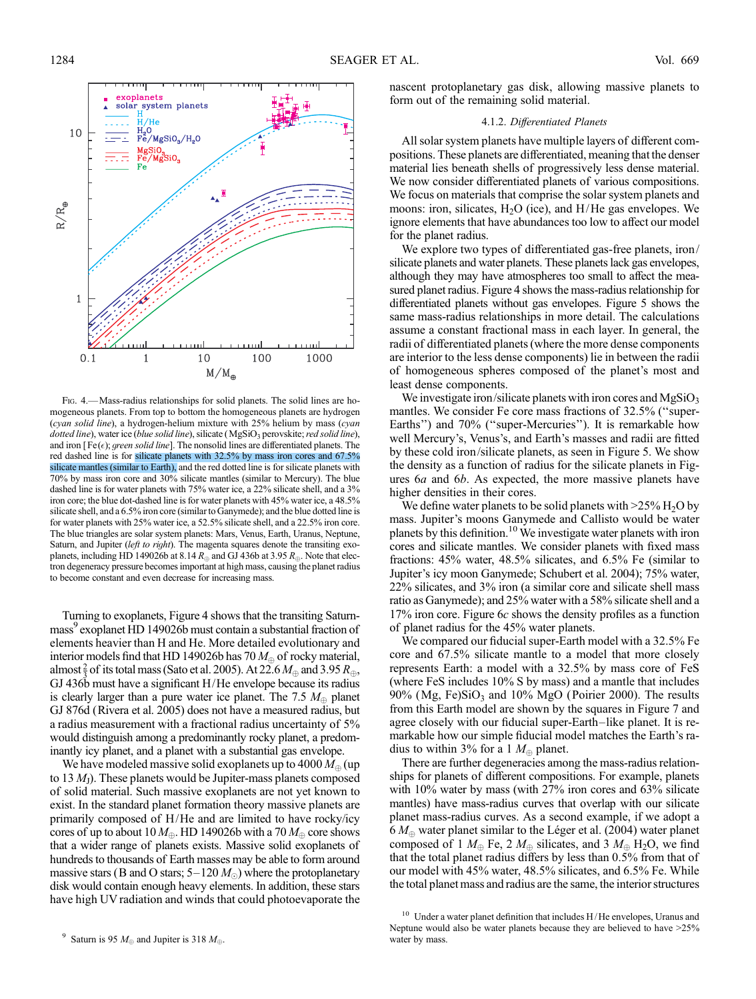

Fig. 4.—Mass-radius relationships for solid planets. The solid lines are homogeneous planets. From top to bottom the homogeneous planets are hydrogen (cyan solid line), a hydrogen-helium mixture with 25% helium by mass (cyan dotted line), water ice (blue solid line), silicate (MgSiO<sub>3</sub> perovskite; red solid line), and iron [Fe( $\epsilon$ ); green solid line]. The nonsolid lines are differentiated planets. The red dashed line is for silicate planets with 32.5% by mass iron cores and 67.5% silicate mantles (similar to Earth), and the red dotted line is for silicate planets with 70% by mass iron core and 30% silicate mantles (similar to Mercury). The blue dashed line is for water planets with 75% water ice, a 22% silicate shell, and a 3% iron core; the blue dot-dashed line is for water planets with 45% water ice, a 48.5% silicate shell, and a 6.5% iron core (similar to Ganymede); and the blue dotted line is for water planets with 25% water ice, a 52.5% silicate shell, and a 22.5% iron core. The blue triangles are solar system planets: Mars, Venus, Earth, Uranus, Neptune, Saturn, and Jupiter (left to right). The magenta squares denote the transiting exoplanets, including HD 149026b at 8.14  $R_{\oplus}$  and GJ 436b at 3.95  $R_{\oplus}$ . Note that electron degeneracy pressure becomes important at high mass, causing the planet radius to become constant and even decrease for increasing mass.

Turning to exoplanets, Figure 4 shows that the transiting Saturnmass<sup>9</sup> exoplanet HD 149026b must contain a substantial fraction of elements heavier than H and He. More detailed evolutionary and interior models find that HD 149026b has 70  $M_{\oplus}$  of rocky material, almost  $\frac{2}{3}$  of its total mass (Sato et al. 2005). At 22.6  $M_{\oplus}$  and 3.95  $R_{\oplus}$ , GJ 436b must have a significant H/He envelope because its radius is clearly larger than a pure water ice planet. The 7.5  $M_{\oplus}$  planet GJ 876d (Rivera et al. 2005) does not have a measured radius, but a radius measurement with a fractional radius uncertainty of 5% would distinguish among a predominantly rocky planet, a predominantly icy planet, and a planet with a substantial gas envelope.

We have modeled massive solid exoplanets up to 4000  $M_{\oplus}$  (up to 13  $M<sub>1</sub>$ ). These planets would be Jupiter-mass planets composed of solid material. Such massive exoplanets are not yet known to exist. In the standard planet formation theory massive planets are primarily composed of H/He and are limited to have rocky/icy cores of up to about 10  $M_{\oplus}$ . HD 149026b with a 70  $M_{\oplus}$  core shows that a wider range of planets exists. Massive solid exoplanets of hundreds to thousands of Earth masses may be able to form around massive stars (B and O stars;  $5-120 M_{\odot}$ ) where the protoplanetary disk would contain enough heavy elements. In addition, these stars have high UV radiation and winds that could photoevaporate the

nascent protoplanetary gas disk, allowing massive planets to form out of the remaining solid material.

### 4.1.2. Differentiated Planets

All solar system planets have multiple layers of different compositions. These planets are differentiated, meaning that the denser material lies beneath shells of progressively less dense material. We now consider differentiated planets of various compositions. We focus on materials that comprise the solar system planets and moons: iron, silicates,  $H_2O$  (ice), and  $H/He$  gas envelopes. We ignore elements that have abundances too low to affect our model for the planet radius.

We explore two types of differentiated gas-free planets, iron/ silicate planets and water planets. These planets lack gas envelopes, although they may have atmospheres too small to affect the measured planet radius. Figure 4 shows the mass-radius relationship for differentiated planets without gas envelopes. Figure 5 shows the same mass-radius relationships in more detail. The calculations assume a constant fractional mass in each layer. In general, the radii of differentiated planets (where the more dense components are interior to the less dense components) lie in between the radii of homogeneous spheres composed of the planet's most and least dense components.

We investigate iron/silicate planets with iron cores and  $MgSiO<sub>3</sub>$ mantles. We consider Fe core mass fractions of 32.5% ("super-Earths") and 70% ("super-Mercuries"). It is remarkable how well Mercury's, Venus's, and Earth's masses and radii are fitted by these cold iron/silicate planets, as seen in Figure 5. We show the density as a function of radius for the silicate planets in Figures 6a and 6b. As expected, the more massive planets have higher densities in their cores.

We define water planets to be solid planets with  $>25\%$  H<sub>2</sub>O by mass. Jupiter's moons Ganymede and Callisto would be water planets by this definition.10 We investigate water planets with iron cores and silicate mantles. We consider planets with fixed mass fractions: 45% water, 48.5% silicates, and 6.5% Fe (similar to Jupiter's icy moon Ganymede; Schubert et al. 2004); 75% water, 22% silicates, and 3% iron (a similar core and silicate shell mass ratio as Ganymede); and 25% water with a 58% silicate shell and a 17% iron core. Figure 6c shows the density profiles as a function of planet radius for the 45% water planets.

We compared our fiducial super-Earth model with a 32.5% Fe core and 67.5% silicate mantle to a model that more closely represents Earth: a model with a 32.5% by mass core of FeS (where FeS includes 10% S by mass) and a mantle that includes  $90\%$  (Mg, Fe)SiO<sub>3</sub> and  $10\%$  MgO (Poirier 2000). The results from this Earth model are shown by the squares in Figure 7 and agree closely with our fiducial super-Earth-like planet. It is remarkable how our simple fiducial model matches the Earth's radius to within 3% for a 1  $M_{\oplus}$  planet.

There are further degeneracies among the mass-radius relationships for planets of different compositions. For example, planets with 10% water by mass (with 27% iron cores and 63% silicate mantles) have mass-radius curves that overlap with our silicate planet mass-radius curves. As a second example, if we adopt a  $6 M_{\oplus}$  water planet similar to the Léger et al. (2004) water planet composed of 1  $M_{\oplus}$  Fe, 2  $M_{\oplus}$  silicates, and 3  $M_{\oplus}$  H<sub>2</sub>O, we find that the total planet radius differs by less than 0.5% from that of our model with 45% water, 48.5% silicates, and 6.5% Fe. While the total planet mass and radius are the same, the interior structures

 $^{10}\,$  Under a water planet definition that includes H/He envelopes, Uranus and Neptune would also be water planets because they are believed to have >25% water by mass.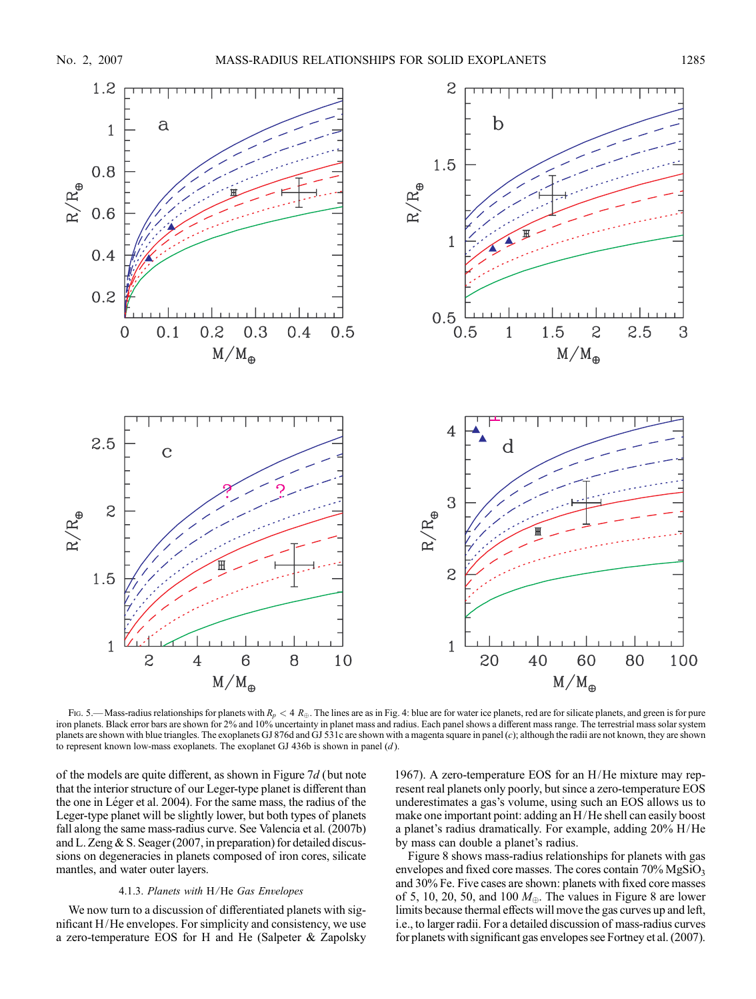

Fig. 5.—Mass-radius relationships for planets with  $R_p < 4 R_{\oplus}$ . The lines are as in Fig. 4: blue are for water ice planets, red are for silicate planets, and green is for pure iron planets. Black error bars are shown for 2% and 10% uncertainty in planet mass and radius. Each panel shows a different mass range. The terrestrial mass solar system planets are shown with blue triangles. The exoplanets GJ 876d and GJ 531c are shown with a magenta square in panel (c); although the radii are not known, they are shown to represent known low-mass exoplanets. The exoplanet GJ 436b is shown in panel  $(d)$ .

of the models are quite different, as shown in Figure 7d (but note that the interior structure of our Leger-type planet is different than the one in Léger et al. 2004). For the same mass, the radius of the Leger-type planet will be slightly lower, but both types of planets fall along the same mass-radius curve. See Valencia et al. (2007b) and L. Zeng & S. Seager (2007, in preparation) for detailed discussions on degeneracies in planets composed of iron cores, silicate mantles, and water outer layers.

# 4.1.3. Planets with H/He Gas Envelopes

We now turn to a discussion of differentiated planets with significant H/He envelopes. For simplicity and consistency, we use a zero-temperature EOS for H and He (Salpeter & Zapolsky 1967). A zero-temperature EOS for an H/He mixture may represent real planets only poorly, but since a zero-temperature EOS underestimates a gas's volume, using such an EOS allows us to make one important point: adding an H/He shell can easily boost a planet's radius dramatically. For example, adding 20% H/He by mass can double a planet's radius.

Figure 8 shows mass-radius relationships for planets with gas envelopes and fixed core masses. The cores contain  $70\%$  MgSiO<sub>3</sub> and 30% Fe. Five cases are shown: planets with fixed core masses of 5, 10, 20, 50, and 100  $M_{\oplus}$ . The values in Figure 8 are lower limits because thermal effects will move the gas curves up and left, i.e., to larger radii. For a detailed discussion of mass-radius curves for planets with significant gas envelopes see Fortney et al. (2007).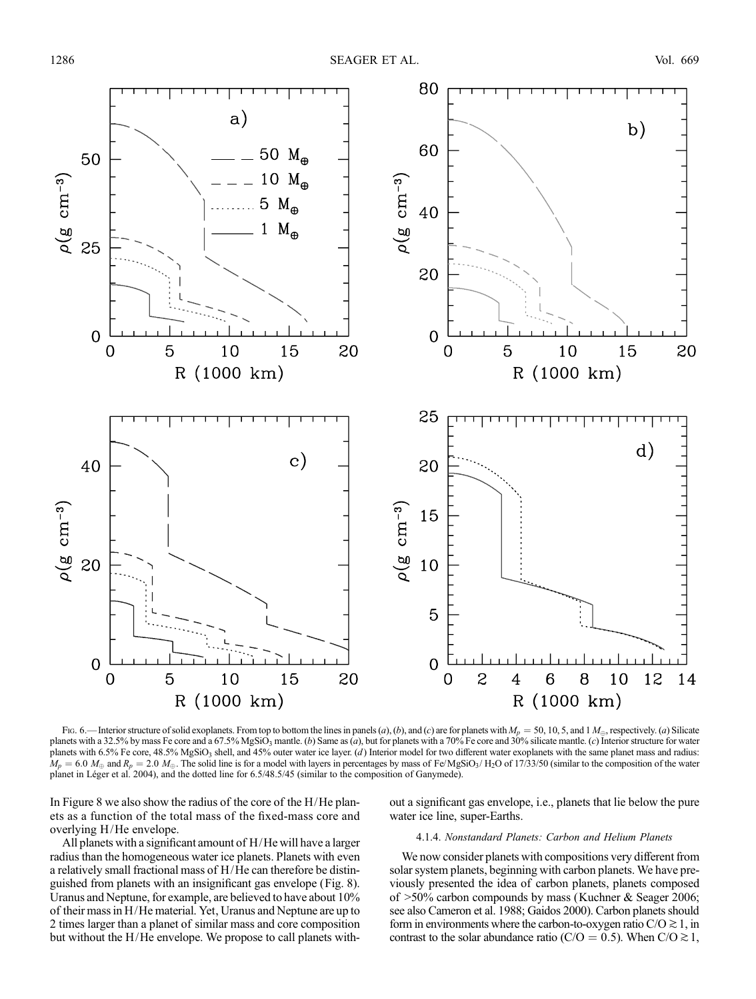

Fig. 6.—Interior structure of solid exoplanets. From top to bottom the lines in panels (a), (b), and (c) are for planets with  $M_p = 50$ , 10, 5, and 1  $M_{\oplus}$ , respectively. (a) Silicate planets with a 32.5% by mass Fe core and a 67.5% MgSiO<sub>3</sub> mantle. (b) Same as (a), but for planets with a 70% Fe core and 30% silicate mantle. (c) Interior structure for water planets with 6.5% Fe core, 48.5% MgSiO<sub>3</sub> shell, and 45% outer water ice layer. (d) Interior model for two different water exoplanets with the same planet mass and radius:  $M_p = 6.0$  M<sub> $\oplus$ </sub> and  $R_p = 2.0$  M<sub> $\oplus$ </sub>. The solid line is for a model with layers in percentages by mass of Fe/MgSiO<sub>3</sub>/ H<sub>2</sub>O of 17/33/50 (similar to the composition of the water planet in Léger et al. 2004), and the dotted line for 6.5/48.5/45 (similar to the composition of Ganymede).

In Figure 8 we also show the radius of the core of the  $H/He$  planets as a function of the total mass of the fixed-mass core and overlying H/He envelope.

All planets with a significant amount of H/He will have a larger radius than the homogeneous water ice planets. Planets with even a relatively small fractional mass of H/He can therefore be distinguished from planets with an insignificant gas envelope (Fig. 8). Uranus and Neptune, for example, are believed to have about 10% of their mass in H/He material. Yet, Uranus and Neptune are up to 2 times larger than a planet of similar mass and core composition but without the H/He envelope. We propose to call planets without a significant gas envelope, i.e., planets that lie below the pure water ice line, super-Earths.

#### 4.1.4. Nonstandard Planets: Carbon and Helium Planets

We now consider planets with compositions very different from solar system planets, beginning with carbon planets. We have previously presented the idea of carbon planets, planets composed of >50% carbon compounds by mass (Kuchner & Seager 2006; see also Cameron et al. 1988; Gaidos 2000). Carbon planets should form in environments where the carbon-to-oxygen ratio  $C/O \gtrsim 1$ , in contrast to the solar abundance ratio (C/O = 0.5). When C/O  $\gtrsim$  1,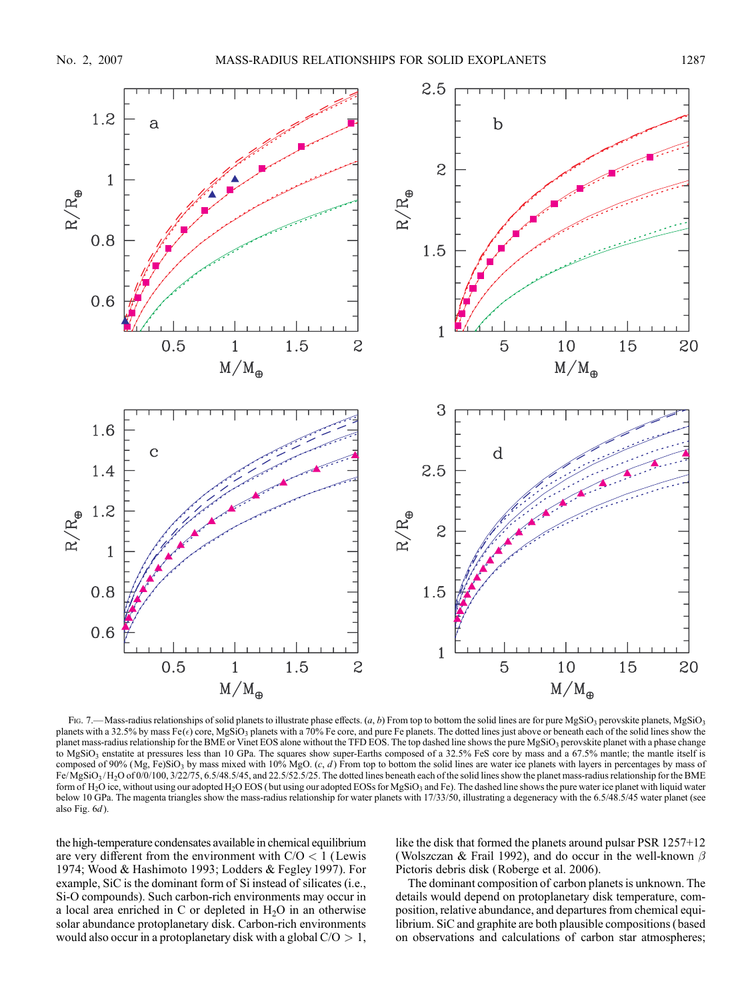

Fig. 7.—Mass-radius relationships of solid planets to illustrate phase effects.  $(a, b)$  From top to bottom the solid lines are for pure MgSiO<sub>3</sub> perovskite planets, MgSiO<sub>3</sub> planets with a 32.5% by mass Fe( $\epsilon$ ) core, MgSiO<sub>3</sub> planets with a 70% Fe core, and pure Fe planets. The dotted lines just above or beneath each of the solid lines show the planet mass-radius relationship for the BME or Vinet EOS alone without the TFD EOS. The top dashed line shows the pure MgSiO<sub>3</sub> perovskite planet with a phase change to MgSiO<sub>3</sub> enstatite at pressures less than 10 GPa. The squares show super-Earths composed of a 32.5% FeS core by mass and a 67.5% mantle; the mantle itself is composed of 90% (Mg, Fe)SiO<sub>3</sub> by mass mixed with 10% MgO.  $(c, d)$  From top to bottom the solid lines are water ice planets with layers in percentages by mass of  $Fe/MgSiO<sub>3</sub>/H<sub>2</sub>O of 0/0/100, 3/22/75, 6.5/48.5/45,$  and 22.5/52.5/25. The dotted lines beneath each of the solid lines show the planet mass-radius relationship for the BME form of H<sub>2</sub>O ice, without using our adopted H<sub>2</sub>O EOS (but using our adopted EOSs for MgSiO<sub>3</sub> and Fe). The dashed line shows the pure water ice planet with liquid water below 10 GPa. The magenta triangles show the mass-radius relationship for water planets with 17/33/50, illustrating a degeneracy with the 6.5/48.5/45 water planet (see also Fig.  $6d$ ).

the high-temperature condensates available in chemical equilibrium are very different from the environment with  $C/O < 1$  (Lewis 1974; Wood & Hashimoto 1993; Lodders & Fegley 1997). For example, SiC is the dominant form of Si instead of silicates (i.e., Si-O compounds). Such carbon-rich environments may occur in a local area enriched in C or depleted in  $H_2O$  in an otherwise solar abundance protoplanetary disk. Carbon-rich environments would also occur in a protoplanetary disk with a global  $C/O > 1$ , like the disk that formed the planets around pulsar PSR 1257+12 (Wolszczan & Frail 1992), and do occur in the well-known  $\beta$ Pictoris debris disk (Roberge et al. 2006).

The dominant composition of carbon planets is unknown. The details would depend on protoplanetary disk temperature, composition, relative abundance, and departures from chemical equilibrium. SiC and graphite are both plausible compositions (based on observations and calculations of carbon star atmospheres;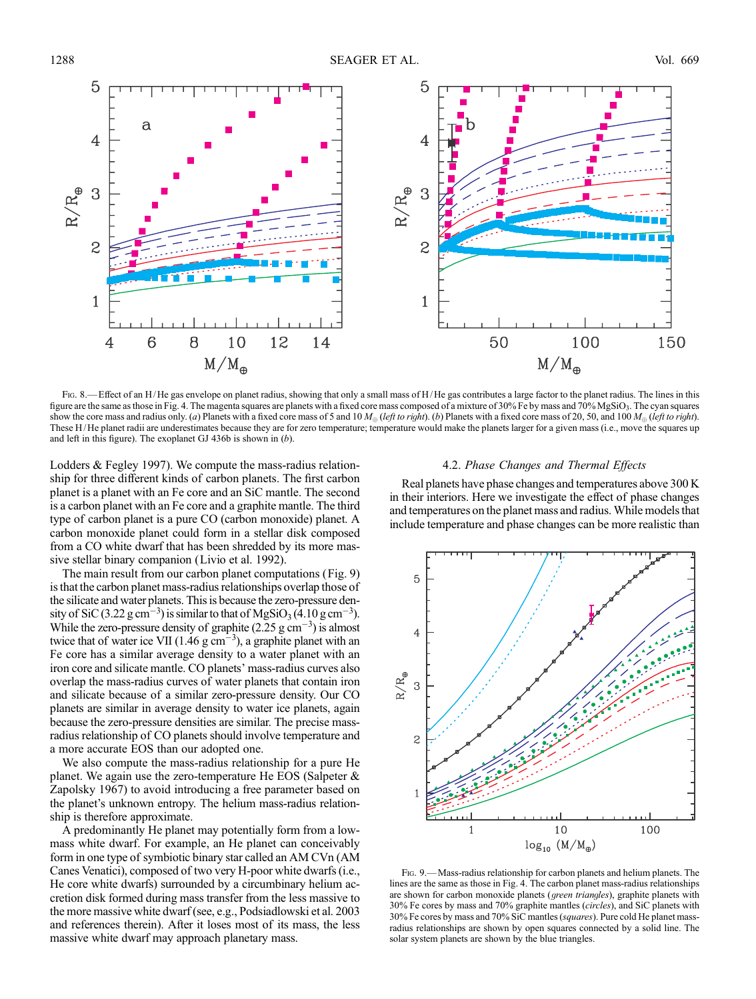

Fig. 8.— Effect of an H/He gas envelope on planet radius, showing that only a small mass of H/He gas contributes a large factor to the planet radius. The lines in this figure are the same as those in Fig. 4. The magenta squares are planets with a fixed core mass composed of a mixture of 30% Fe by mass and 70% MgSiO3. The cyan squares show the core mass and radius only. (a) Planets with a fixed core mass of 5 and 10  $M_{\oplus}$  (left to right). (b) Planets with a fixed core mass of 20, 50, and 100  $M_{\oplus}$  (left to right). These H/ He planet radii are underestimates because they are for zero temperature; temperature would make the planets larger for a given mass (i.e., move the squares up and left in this figure). The exoplanet GJ 436b is shown in  $(b)$ .

Lodders & Fegley 1997). We compute the mass-radius relationship for three different kinds of carbon planets. The first carbon planet is a planet with an Fe core and an SiC mantle. The second is a carbon planet with an Fe core and a graphite mantle. The third type of carbon planet is a pure CO (carbon monoxide) planet. A carbon monoxide planet could form in a stellar disk composed from a CO white dwarf that has been shredded by its more massive stellar binary companion (Livio et al. 1992).

The main result from our carbon planet computations (Fig. 9) is that the carbon planet mass-radius relationships overlap those of the silicate and water planets. This is because the zero-pressure density of SiC (3.22  $\text{g cm}^{-3}$ ) is similar to that of MgSiO<sub>3</sub> (4.10  $\text{g cm}^{-3}$ ). While the zero-pressure density of graphite  $(2.25 \text{ g cm}^{-3})$  is almost twice that of water ice VII (1.46  $\rm g \, cm^{-3}$ ), a graphite planet with an Fe core has a similar average density to a water planet with an iron core and silicate mantle. CO planets' mass-radius curves also overlap the mass-radius curves of water planets that contain iron and silicate because of a similar zero-pressure density. Our CO planets are similar in average density to water ice planets, again because the zero-pressure densities are similar. The precise massradius relationship of CO planets should involve temperature and a more accurate EOS than our adopted one.

We also compute the mass-radius relationship for a pure He planet. We again use the zero-temperature He EOS (Salpeter & Zapolsky 1967) to avoid introducing a free parameter based on the planet's unknown entropy. The helium mass-radius relationship is therefore approximate.

A predominantly He planet may potentially form from a lowmass white dwarf. For example, an He planet can conceivably form in one type of symbiotic binary star called an AM CVn (AM Canes Venatici), composed of two very H-poor white dwarfs (i.e., He core white dwarfs) surrounded by a circumbinary helium accretion disk formed during mass transfer from the less massive to the more massive white dwarf (see, e.g., Podsiadlowski et al. 2003 and references therein). After it loses most of its mass, the less massive white dwarf may approach planetary mass.

### 4.2. Phase Changes and Thermal Effects

Real planets have phase changes and temperatures above 300 K in their interiors. Here we investigate the effect of phase changes and temperatures on the planet mass and radius. While models that include temperature and phase changes can be more realistic than



Fig. 9.—Mass-radius relationship for carbon planets and helium planets. The lines are the same as those in Fig. 4. The carbon planet mass-radius relationships are shown for carbon monoxide planets (green triangles), graphite planets with 30% Fe cores by mass and 70% graphite mantles (circles), and SiC planets with 30% Fe cores by mass and 70% SiC mantles (squares). Pure cold He planet massradius relationships are shown by open squares connected by a solid line. The solar system planets are shown by the blue triangles.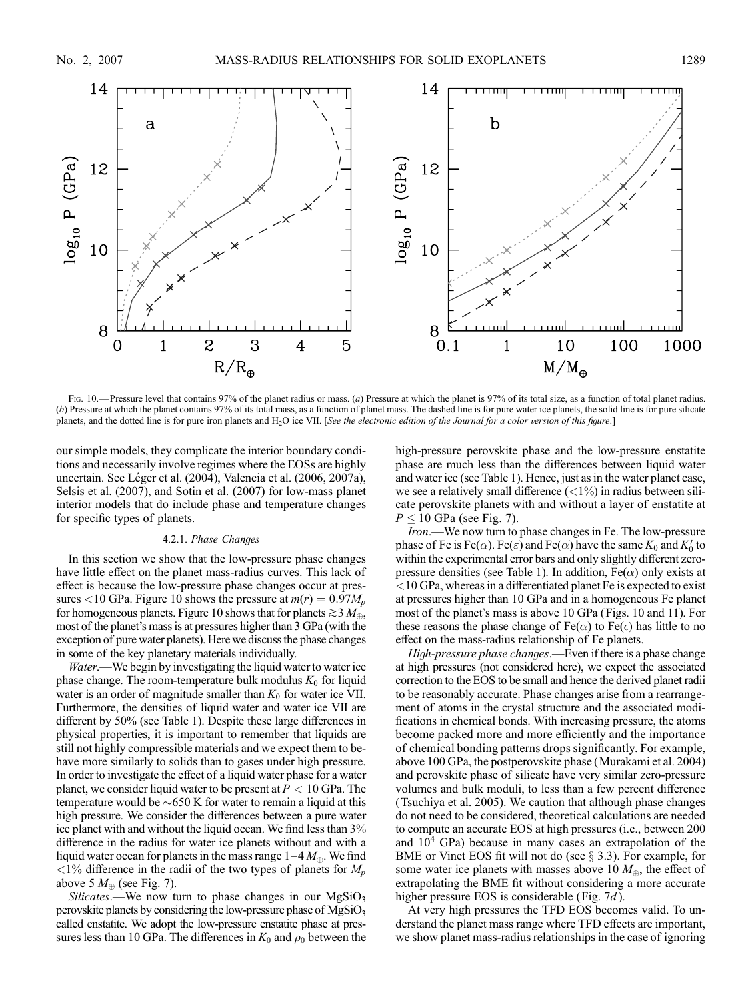

Fig. 10.— Pressure level that contains 97% of the planet radius or mass. (a) Pressure at which the planet is 97% of its total size, as a function of total planet radius. (b) Pressure at which the planet contains 97% of its total mass, as a function of planet mass. The dashed line is for pure water ice planets, the solid line is for pure silicate planets, and the dotted line is for pure iron planets and H<sub>2</sub>O ice VII. [See the electronic edition of the Journal for a color version of this figure.]

our simple models, they complicate the interior boundary conditions and necessarily involve regimes where the EOSs are highly uncertain. See Léger et al. (2004), Valencia et al. (2006, 2007a), Selsis et al. (2007), and Sotin et al. (2007) for low-mass planet interior models that do include phase and temperature changes for specific types of planets.

# 4.2.1. Phase Changes

In this section we show that the low-pressure phase changes have little effect on the planet mass-radius curves. This lack of effect is because the low-pressure phase changes occur at pressures <10 GPa. Figure 10 shows the pressure at  $m(r) = 0.97M_p$ for homogeneous planets. Figure 10 shows that for planets  $\gtrsim 3$   $M_{\oplus}$ , most of the planet's mass is at pressures higher than 3 GPa (with the exception of pure water planets). Here we discuss the phase changes in some of the key planetary materials individually.

Water.—We begin by investigating the liquid water to water ice phase change. The room-temperature bulk modulus  $K_0$  for liquid water is an order of magnitude smaller than  $K_0$  for water ice VII. Furthermore, the densities of liquid water and water ice VII are different by 50% (see Table 1). Despite these large differences in physical properties, it is important to remember that liquids are still not highly compressible materials and we expect them to behave more similarly to solids than to gases under high pressure. In order to investigate the effect of a liquid water phase for a water planet, we consider liquid water to be present at  $P < 10$  GPa. The temperature would be  $\sim650$  K for water to remain a liquid at this high pressure. We consider the differences between a pure water ice planet with and without the liquid ocean. We find less than 3% difference in the radius for water ice planets without and with a liquid water ocean for planets in the mass range  $1-4 M_{\oplus}$ . We find  $\langle 1\%$  difference in the radii of the two types of planets for  $M_p$ above 5  $M_{\oplus}$  (see Fig. 7).

Silicates.—We now turn to phase changes in our  $MgSiO<sub>3</sub>$ perovskite planets by considering the low-pressure phase of  $MgSiO<sub>3</sub>$ called enstatite. We adopt the low-pressure enstatite phase at pressures less than 10 GPa. The differences in  $K_0$  and  $\rho_0$  between the high-pressure perovskite phase and the low-pressure enstatite phase are much less than the differences between liquid water and water ice (see Table 1). Hence, just as in the water planet case, we see a relatively small difference  $\left($  < 1%) in radius between silicate perovskite planets with and without a layer of enstatite at  $P \le 10$  GPa (see Fig. 7).

Iron.—We now turn to phase changes in Fe. The low-pressure phase of Fe is Fe( $\alpha$ ). Fe( $\varepsilon$ ) and Fe( $\alpha$ ) have the same  $K_0$  and  $K_0'$  to within the experimental error bars and only slightly different zeropressure densities (see Table 1). In addition,  $Fe(\alpha)$  only exists at <10 GPa, whereas in a differentiated planet Fe is expected to exist at pressures higher than 10 GPa and in a homogeneous Fe planet most of the planet's mass is above 10 GPa (Figs. 10 and 11). For these reasons the phase change of  $Fe(\alpha)$  to  $Fe(\epsilon)$  has little to no effect on the mass-radius relationship of Fe planets.

High-pressure phase changes.—Even if there is a phase change at high pressures (not considered here), we expect the associated correction to the EOS to be small and hence the derived planet radii to be reasonably accurate. Phase changes arise from a rearrangement of atoms in the crystal structure and the associated modifications in chemical bonds. With increasing pressure, the atoms become packed more and more efficiently and the importance of chemical bonding patterns drops significantly. For example, above 100 GPa, the postperovskite phase (Murakami et al. 2004) and perovskite phase of silicate have very similar zero-pressure volumes and bulk moduli, to less than a few percent difference (Tsuchiya et al. 2005). We caution that although phase changes do not need to be considered, theoretical calculations are needed to compute an accurate EOS at high pressures (i.e., between 200 and  $10<sup>4</sup>$  GPa) because in many cases an extrapolation of the BME or Vinet EOS fit will not do (see  $\S$  3.3). For example, for some water ice planets with masses above 10  $M_{\oplus}$ , the effect of extrapolating the BME fit without considering a more accurate higher pressure EOS is considerable (Fig. 7d).

At very high pressures the TFD EOS becomes valid. To understand the planet mass range where TFD effects are important, we show planet mass-radius relationships in the case of ignoring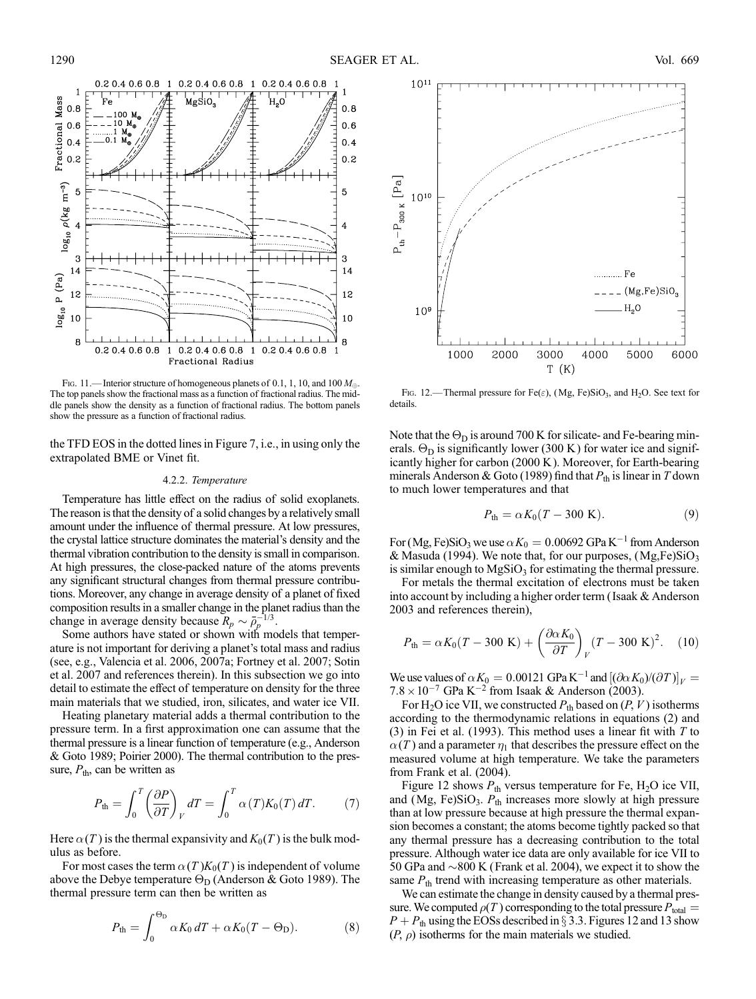

Fig. 11.—Interior structure of homogeneous planets of 0.1, 1, 10, and 100  $M_{\oplus}$ . The top panels show the fractional mass as a function of fractional radius. The middle panels show the density as a function of fractional radius. The bottom panels show the pressure as a function of fractional radius.

the TFD EOS in the dotted lines in Figure 7, i.e., in using only the extrapolated BME or Vinet fit.

### 4.2.2. Temperature

Temperature has little effect on the radius of solid exoplanets. The reason is that the density of a solid changes by a relatively small amount under the influence of thermal pressure. At low pressures, the crystal lattice structure dominates the material's density and the thermal vibration contribution to the density is small in comparison. At high pressures, the close-packed nature of the atoms prevents any significant structural changes from thermal pressure contributions. Moreover, any change in average density of a planet of fixed composition results in a smaller change in the planet radius than the change in average density because  $R_p \sim \bar{\rho}_p^{-1/3}$ .

Some authors have stated or shown with models that temperature is not important for deriving a planet's total mass and radius (see, e.g., Valencia et al. 2006, 2007a; Fortney et al. 2007; Sotin et al. 2007 and references therein). In this subsection we go into detail to estimate the effect of temperature on density for the three main materials that we studied, iron, silicates, and water ice VII.

Heating planetary material adds a thermal contribution to the pressure term. In a first approximation one can assume that the thermal pressure is a linear function of temperature (e.g., Anderson & Goto 1989; Poirier 2000). The thermal contribution to the pressure,  $P_{\text{th}}$ , can be written as

$$
P_{\text{th}} = \int_0^T \left(\frac{\partial P}{\partial T}\right)_V dT = \int_0^T \alpha(T)K_0(T) dT. \tag{7}
$$

Here  $\alpha(T)$  is the thermal expansivity and  $K_0(T)$  is the bulk modulus as before.

For most cases the term  $\alpha(T)K_0(T)$  is independent of volume above the Debye temperature  $\Theta_{\text{D}}$  (Anderson & Goto 1989). The thermal pressure term can then be written as

$$
P_{\text{th}} = \int_0^{\Theta_{\text{D}}} \alpha K_0 \, dT + \alpha K_0 (T - \Theta_{\text{D}}). \tag{8}
$$



Fig. 12.—Thermal pressure for Fe( $\varepsilon$ ), (Mg, Fe)SiO<sub>3</sub>, and H<sub>2</sub>O. See text for details.

Note that the  $\Theta_D$  is around 700 K for silicate- and Fe-bearing minerals.  $\Theta_{\text{D}}$  is significantly lower (300 K) for water ice and significantly higher for carbon (2000 K ). Moreover, for Earth-bearing minerals Anderson & Goto (1989) find that  $P_{\text{th}}$  is linear in T down to much lower temperatures and that

$$
P_{\text{th}} = \alpha K_0 (T - 300 \text{ K}). \tag{9}
$$

For (Mg, Fe)SiO<sub>3</sub> we use  $\alpha K_0 = 0.00692$  GPa K<sup>-1</sup> from Anderson & Masuda (1994). We note that, for our purposes,  $(Mg,Fe)SiO<sub>3</sub>$ is similar enough to  $MgSiO<sub>3</sub>$  for estimating the thermal pressure.

For metals the thermal excitation of electrons must be taken into account by including a higher order term ( Isaak & Anderson 2003 and references therein),

$$
P_{\text{th}} = \alpha K_0 (T - 300 \text{ K}) + \left(\frac{\partial \alpha K_0}{\partial T}\right)_V (T - 300 \text{ K})^2. \quad (10)
$$

We use values of  $\alpha K_0 = 0.00121 \text{ GPa K}^{-1}$  and  $[(\partial \alpha K_0)/(\partial T)]_V =$  $7.8 \times 10^{-7}$  GPa K<sup>-2</sup> from Isaak & Anderson (2003).

For H<sub>2</sub>O ice VII, we constructed  $P_{th}$  based on  $(P, V)$  isotherms according to the thermodynamic relations in equations (2) and (3) in Fei et al. (1993). This method uses a linear fit with  $T$  to  $\alpha(T)$  and a parameter  $\eta_1$  that describes the pressure effect on the measured volume at high temperature. We take the parameters from Frank et al. (2004).

Figure 12 shows  $P_{\text{th}}$  versus temperature for Fe, H<sub>2</sub>O ice VII, and (Mg, Fe)SiO<sub>3</sub>.  $P_{th}$  increases more slowly at high pressure than at low pressure because at high pressure the thermal expansion becomes a constant; the atoms become tightly packed so that any thermal pressure has a decreasing contribution to the total pressure. Although water ice data are only available for ice VII to 50 GPa and  $\sim$ 800 K (Frank et al. 2004), we expect it to show the same  $P_{\text{th}}$  trend with increasing temperature as other materials.

We can estimate the change in density caused by a thermal pressure. We computed  $\rho(T)$  corresponding to the total pressure  $P_{total} =$  $P + P_{\text{th}}$  using the EOSs described in § 3.3. Figures 12 and 13 show  $(P, \rho)$  isotherms for the main materials we studied.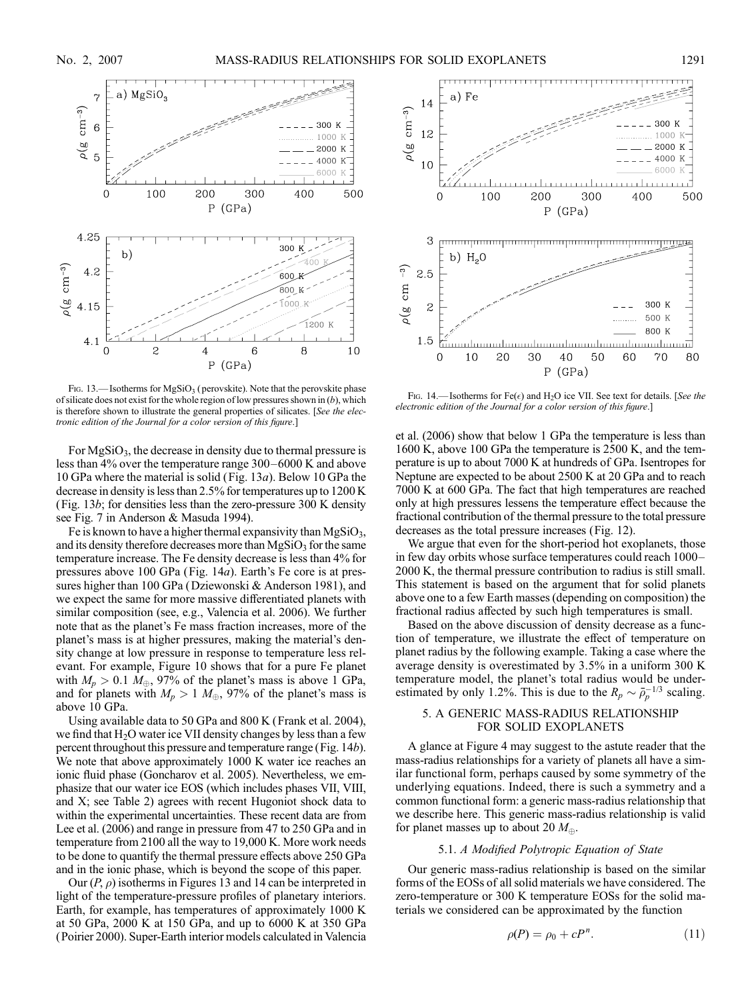

Fig. 13.—Isotherms for  $MgSiO<sub>3</sub>$  (perovskite). Note that the perovskite phase of silicate does not exist for the whole region of low pressures shown in  $(b)$ , which is therefore shown to illustrate the general properties of silicates. [See the electronic edition of the Journal for a color version of this figure.]

For  $MgSiO<sub>3</sub>$ , the decrease in density due to thermal pressure is less than  $4\%$  over the temperature range  $300-6000$  K and above 10 GPa where the material is solid (Fig. 13a). Below 10 GPa the decrease in density is less than 2.5% for temperatures up to 1200 K (Fig. 13b; for densities less than the zero-pressure 300 K density see Fig. 7 in Anderson & Masuda 1994).

Fe is known to have a higher thermal expansivity than  $MgSiO<sub>3</sub>$ , and its density therefore decreases more than  $MgSiO<sub>3</sub>$  for the same temperature increase. The Fe density decrease is less than 4% for pressures above 100 GPa (Fig. 14a). Earth's Fe core is at pressures higher than 100 GPa (Dziewonski & Anderson 1981), and we expect the same for more massive differentiated planets with similar composition (see, e.g., Valencia et al. 2006). We further note that as the planet's Fe mass fraction increases, more of the planet's mass is at higher pressures, making the material's density change at low pressure in response to temperature less relevant. For example, Figure 10 shows that for a pure Fe planet with  $M_p > 0.1 M_{\oplus}$ , 97% of the planet's mass is above 1 GPa, and for planets with  $M_p > 1$   $M_{\oplus}$ , 97% of the planet's mass is above 10 GPa.

Using available data to 50 GPa and 800 K (Frank et al. 2004), we find that  $H_2O$  water ice VII density changes by less than a few percent throughout this pressure and temperature range (Fig. 14b). We note that above approximately 1000 K water ice reaches an ionic fluid phase (Goncharov et al. 2005). Nevertheless, we emphasize that our water ice EOS (which includes phases VII, VIII, and X; see Table 2) agrees with recent Hugoniot shock data to within the experimental uncertainties. These recent data are from Lee et al. (2006) and range in pressure from 47 to 250 GPa and in temperature from 2100 all the way to 19,000 K. More work needs to be done to quantify the thermal pressure effects above 250 GPa and in the ionic phase, which is beyond the scope of this paper.

Our  $(P, \rho)$  isotherms in Figures 13 and 14 can be interpreted in light of the temperature-pressure profiles of planetary interiors. Earth, for example, has temperatures of approximately 1000 K at 50 GPa, 2000 K at 150 GPa, and up to 6000 K at 350 GPa (Poirier 2000). Super-Earth interior models calculated in Valencia



Fig. 14.—Isotherms for  $Fe(\epsilon)$  and H<sub>2</sub>O ice VII. See text for details. [See the electronic edition of the Journal for a color version of this figure.]

et al. (2006) show that below 1 GPa the temperature is less than 1600 K, above 100 GPa the temperature is 2500 K, and the temperature is up to about 7000 K at hundreds of GPa. Isentropes for Neptune are expected to be about 2500 K at 20 GPa and to reach 7000 K at 600 GPa. The fact that high temperatures are reached only at high pressures lessens the temperature effect because the fractional contribution of the thermal pressure to the total pressure decreases as the total pressure increases (Fig. 12).

We argue that even for the short-period hot exoplanets, those in few day orbits whose surface temperatures could reach 1000– 2000 K, the thermal pressure contribution to radius is still small. This statement is based on the argument that for solid planets above one to a few Earth masses (depending on composition) the fractional radius affected by such high temperatures is small.

Based on the above discussion of density decrease as a function of temperature, we illustrate the effect of temperature on planet radius by the following example. Taking a case where the average density is overestimated by 3.5% in a uniform 300 K temperature model, the planet's total radius would be underestimated by only 1.2%. This is due to the  $R_p \sim \bar{\rho}_p^{-1/3}$  scaling.

### 5. A GENERIC MASS-RADIUS RELATIONSHIP FOR SOLID EXOPLANETS

A glance at Figure 4 may suggest to the astute reader that the mass-radius relationships for a variety of planets all have a similar functional form, perhaps caused by some symmetry of the underlying equations. Indeed, there is such a symmetry and a common functional form: a generic mass-radius relationship that we describe here. This generic mass-radius relationship is valid for planet masses up to about 20  $M_{\oplus}$ .

# 5.1. A Modified Polytropic Equation of State

Our generic mass-radius relationship is based on the similar forms of the EOSs of all solid materials we have considered. The zero-temperature or 300 K temperature EOSs for the solid materials we considered can be approximated by the function

$$
\rho(P) = \rho_0 + cP^n. \tag{11}
$$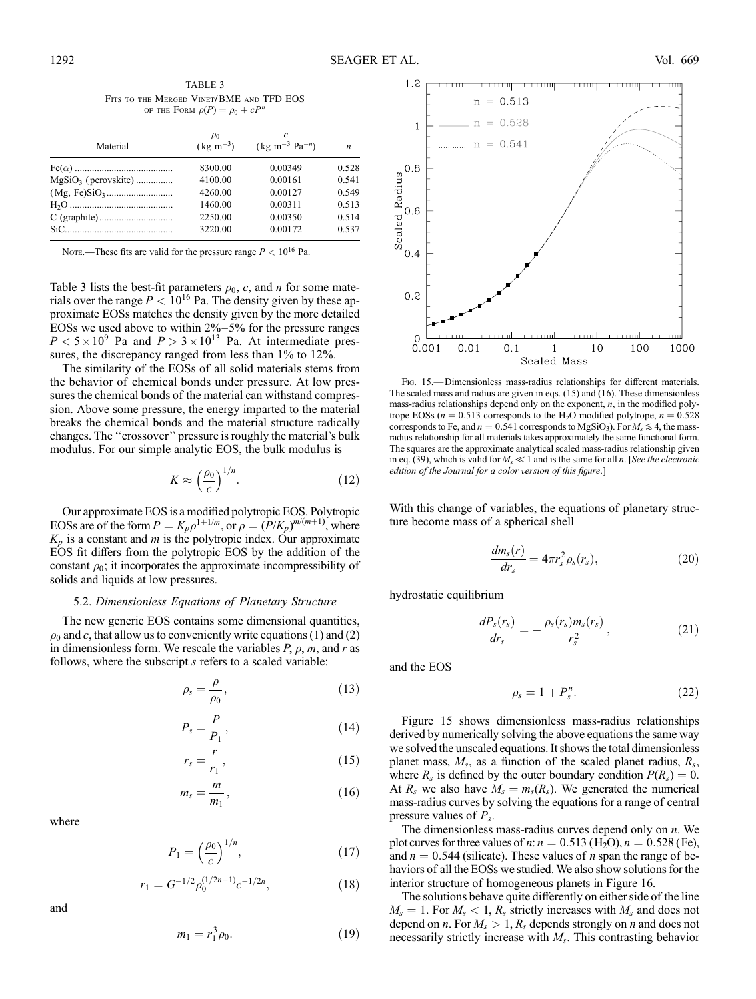$\boldsymbol{n}$ 

| TABLE 3<br>FITS TO THE MERGED VINET/BME AND TFD EOS<br>OF THE FORM $\rho(P) = \rho_0 + cP^n$ |                                             |                                           |  |  |  |
|----------------------------------------------------------------------------------------------|---------------------------------------------|-------------------------------------------|--|--|--|
| Material                                                                                     | $\rho_0$<br>$\left(\text{kg m}^{-3}\right)$ | C<br>$(\text{kg m}^{-3} \text{ Pa}^{-n})$ |  |  |  |

Fe(\$) ........................................ 8300.00 0.00349 0.528 MgSiO3 ( perovskite) ............... 4100.00 0.00161 0.541 (Mg, Fe)SiO3 ........................... 4260.00 0.00127 0.549 H2O .......................................... 1460.00 0.00311 0.513 C (graphite).............................. 2250.00 0.00350 0.514 SiC............................................ 3220.00 0.00172 0.537

NOTE.—These fits are valid for the pressure range  $P < 10^{16}$  Pa.

Table 3 lists the best-fit parameters  $\rho_0$ , c, and n for some materials over the range  $P < 10^{16}$  Pa. The density given by these approximate EOSs matches the density given by the more detailed EOSs we used above to within  $2\% - 5\%$  for the pressure ranges  $P < 5 \times 10^9$  Pa and  $P > 3 \times 10^{13}$  Pa. At intermediate pressures, the discrepancy ranged from less than 1% to 12%.

The similarity of the EOSs of all solid materials stems from the behavior of chemical bonds under pressure. At low pressures the chemical bonds of the material can withstand compression. Above some pressure, the energy imparted to the material breaks the chemical bonds and the material structure radically changes. The ''crossover'' pressure is roughly the material's bulk modulus. For our simple analytic EOS, the bulk modulus is

$$
K \approx \left(\frac{\rho_0}{c}\right)^{1/n}.\tag{12}
$$

Our approximate EOS is a modified polytropic EOS. Polytropic EOSs are of the form  $P = K_p \rho^{1+1/m}$ , or  $\rho = (P/K_p)^{m/(m+1)}$ , where  $K_p$  is a constant and m is the polytropic index. Our approximate EOS fit differs from the polytropic EOS by the addition of the constant  $\rho_0$ ; it incorporates the approximate incompressibility of solids and liquids at low pressures.

#### 5.2. Dimensionless Equations of Planetary Structure

The new generic EOS contains some dimensional quantities,  $\rho_0$  and c, that allow us to conveniently write equations (1) and (2) in dimensionless form. We rescale the variables  $P, \rho, m$ , and r as follows, where the subscript s refers to a scaled variable:

$$
\rho_s = \frac{\rho}{\rho_0},\tag{13}
$$

$$
P_s = \frac{P}{P_1},\tag{14}
$$

$$
r_s = \frac{r}{r_1},\tag{15}
$$

$$
m_s = \frac{m}{m_1},\tag{16}
$$

where

$$
P_1 = \left(\frac{\rho_0}{c}\right)^{1/n},\tag{17}
$$

$$
r_1 = G^{-1/2} \rho_0^{(1/2n-1)} c^{-1/2n},\tag{18}
$$

and

$$
m_1 = r_1^3 \rho_0. \tag{19}
$$



FIG. 15.—Dimensionless mass-radius relationships for different materials. The scaled mass and radius are given in eqs. (15) and (16). These dimensionless mass-radius relationships depend only on the exponent,  $n$ , in the modified polytrope EOSs ( $n = 0.513$  corresponds to the H<sub>2</sub>O modified polytrope,  $n = 0.528$ corresponds to Fe, and  $n = 0.541$  corresponds to MgSiO<sub>3</sub>). For  $M_s \le 4$ , the massradius relationship for all materials takes approximately the same functional form. The squares are the approximate analytical scaled mass-radius relationship given in eq. (39), which is valid for  $M_s \ll 1$  and is the same for all n. [See the electronic edition of the Journal for a color version of this figure.]

With this change of variables, the equations of planetary structure become mass of a spherical shell

$$
\frac{dm_s(r)}{dr_s} = 4\pi r_s^2 \rho_s(r_s),\tag{20}
$$

hydrostatic equilibrium

$$
\frac{dP_s(r_s)}{dr_s} = -\frac{\rho_s(r_s)m_s(r_s)}{r_s^2},\qquad(21)
$$

and the EOS

$$
\rho_s = 1 + P_s^n. \tag{22}
$$

Figure 15 shows dimensionless mass-radius relationships derived by numerically solving the above equations the same way we solved the unscaled equations. It shows the total dimensionless planet mass,  $M_s$ , as a function of the scaled planet radius,  $R_s$ , where  $R_s$  is defined by the outer boundary condition  $P(R_s) = 0$ . At  $R_s$  we also have  $M_s = m_s(R_s)$ . We generated the numerical mass-radius curves by solving the equations for a range of central pressure values of  $P_s$ .

The dimensionless mass-radius curves depend only on  $n$ . We plot curves for three values of *n*:  $n = 0.513$  (H<sub>2</sub>O),  $n = 0.528$  (Fe), and  $n = 0.544$  (silicate). These values of n span the range of behaviors of all the EOSs we studied. We also show solutions for the interior structure of homogeneous planets in Figure 16.

The solutions behave quite differently on either side of the line  $M_s = 1$ . For  $M_s < 1$ ,  $R_s$  strictly increases with  $M_s$  and does not depend on *n*. For  $M_s > 1$ ,  $R_s$  depends strongly on *n* and does not necessarily strictly increase with  $M_s$ . This contrasting behavior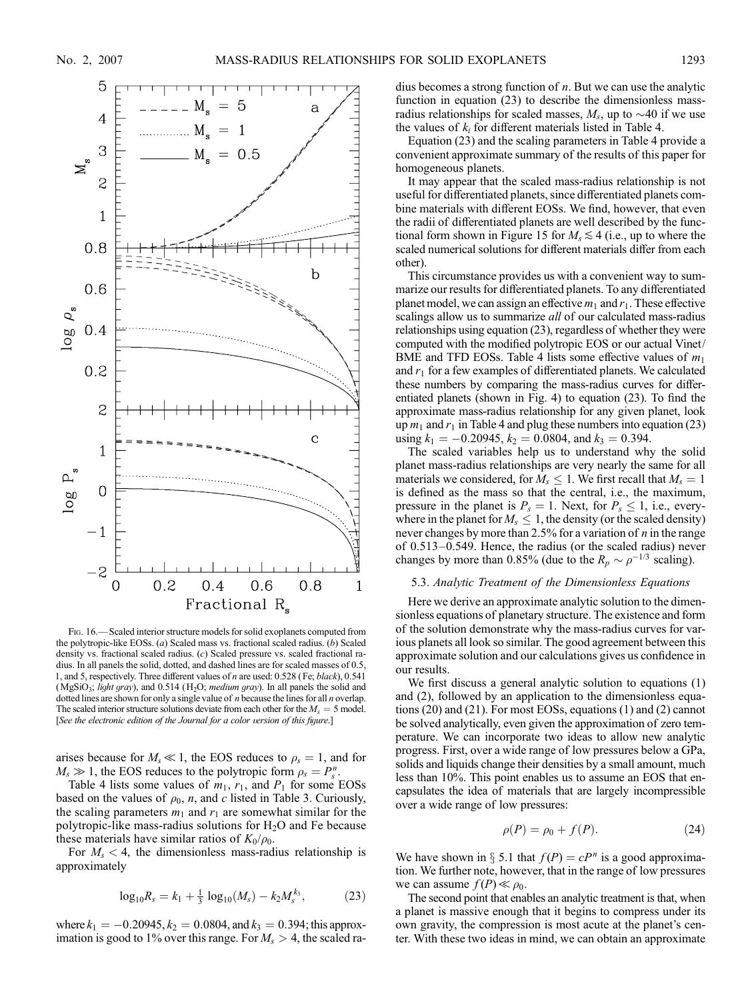

Fig. 16.— Scaled interior structure models for solid exoplanets computed from the polytropic-like EOSs. (a) Scaled mass vs. fractional scaled radius. (b) Scaled density vs. fractional scaled radius. (c) Scaled pressure vs. scaled fractional radius. In all panels the solid, dotted, and dashed lines are for scaled masses of 0.5, 1, and 5, respectively. Three different values of n are used: 0.528 ( Fe; black), 0.541 (MgSiO<sub>3</sub>; light gray), and 0.514 (H<sub>2</sub>O; *medium gray*). In all panels the solid and dotted lines are shown for only a single value of  $n$  because the lines for all  $n$  overlap. The scaled interior structure solutions deviate from each other for the  $M_s = 5$  model. [See the electronic edition of the Journal for a color version of this figure.]

arises because for  $M_s \ll 1$ , the EOS reduces to  $\rho_s = 1$ , and for  $M_s \gg 1$ , the EOS reduces to the polytropic form  $\rho_s = P_s^n$ .

Table 4 lists some values of  $m_1$ ,  $r_1$ , and  $P_1$  for some EOSs based on the values of  $\rho_0$ , *n*, and *c* listed in Table 3. Curiously, the scaling parameters  $m_1$  and  $r_1$  are somewhat similar for the polytropic-like mass-radius solutions for  $H_2O$  and Fe because these materials have similar ratios of  $K_0/\rho_0$ .

For  $M_s < 4$ , the dimensionless mass-radius relationship is approximately

$$
\log_{10} R_s = k_1 + \frac{1}{3} \log_{10}(M_s) - k_2 M_s^{k_3}, \tag{23}
$$

where  $k_1 = -0.20945$ ,  $k_2 = 0.0804$ , and  $k_3 = 0.394$ ; this approximation is good to 1% over this range. For  $M_s > 4$ , the scaled radius becomes a strong function of  $n$ . But we can use the analytic function in equation (23) to describe the dimensionless massradius relationships for scaled masses,  $M_s$ , up to  $\sim$ 40 if we use the values of  $k_i$  for different materials listed in Table 4.

Equation (23) and the scaling parameters in Table 4 provide a convenient approximate summary of the results of this paper for homogeneous planets.

It may appear that the scaled mass-radius relationship is not useful for differentiated planets, since differentiated planets combine materials with different EOSs. We find, however, that even the radii of differentiated planets are well described by the functional form shown in Figure 15 for  $M_s \lesssim 4$  (i.e., up to where the scaled numerical solutions for different materials differ from each other).

This circumstance provides us with a convenient way to summarize our results for differentiated planets. To any differentiated planet model, we can assign an effective  $m_1$  and  $r_1$ . These effective scalings allow us to summarize all of our calculated mass-radius relationships using equation (23), regardless of whether they were computed with the modified polytropic EOS or our actual Vinet/ BME and TFD EOSs. Table 4 lists some effective values of  $m_1$ and  $r_1$  for a few examples of differentiated planets. We calculated these numbers by comparing the mass-radius curves for differentiated planets (shown in Fig. 4) to equation (23). To find the approximate mass-radius relationship for any given planet, look up  $m_1$  and  $r_1$  in Table 4 and plug these numbers into equation (23) using  $k_1 = -0.20945$ ,  $k_2 = 0.0804$ , and  $k_3 = 0.394$ .

The scaled variables help us to understand why the solid planet mass-radius relationships are very nearly the same for all materials we considered, for  $M_s \leq 1$ . We first recall that  $M_s = 1$ . is defined as the mass so that the central, i.e., the maximum, pressure in the planet is  $P_s = 1$ . Next, for  $P_s \le 1$ , i.e., everywhere in the planet for  $M_s \leq 1$ , the density (or the scaled density) never changes by more than 2.5% for a variation of  $n$  in the range of  $0.513-0.549$ . Hence, the radius (or the scaled radius) never changes by more than 0.85% (due to the  $R_p \sim \rho^{-1/3}$  scaling).

# 5.3. Analytic Treatment of the Dimensionless Equations

Here we derive an approximate analytic solution to the dimensionless equations of planetary structure. The existence and form of the solution demonstrate why the mass-radius curves for various planets all look so similar. The good agreement between this approximate solution and our calculations gives us confidence in our results.

We first discuss a general analytic solution to equations (1) and (2), followed by an application to the dimensionless equations (20) and (21). For most EOSs, equations (1) and (2) cannot be solved analytically, even given the approximation of zero temperature. We can incorporate two ideas to allow new analytic progress. First, over a wide range of low pressures below a GPa, solids and liquids change their densities by a small amount, much less than 10%. This point enables us to assume an EOS that encapsulates the idea of materials that are largely incompressible over a wide range of low pressures:

$$
\rho(P) = \rho_0 + f(P). \tag{24}
$$

We have shown in § 5.1 that  $f(P) = cP^n$  is a good approximation. We further note, however, that in the range of low pressures we can assume  $f(P) \ll \rho_0$ .

The second point that enables an analytic treatment is that, when a planet is massive enough that it begins to compress under its own gravity, the compression is most acute at the planet's center. With these two ideas in mind, we can obtain an approximate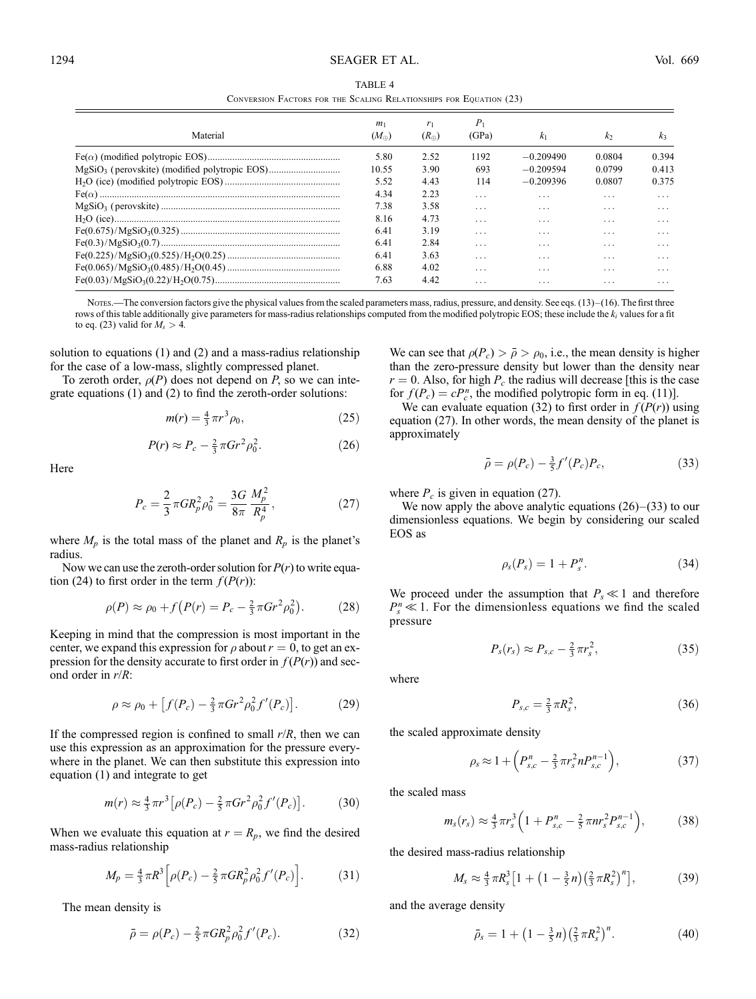Conversion Factors for the Scaling Relationships for Equation (23)

|          | m <sub>1</sub> | r <sub>1</sub> | $P_1$                   |                |                |                |
|----------|----------------|----------------|-------------------------|----------------|----------------|----------------|
| Material | $(M_{\oplus})$ | $(R_{\oplus})$ | (GPa)                   | k <sub>1</sub> | k <sub>2</sub> | k <sub>3</sub> |
|          | 5.80           | 2.52           | 1192                    | $-0.209490$    | 0.0804         | 0.394          |
|          | 10.55          | 3.90           | 693                     | $-0.209594$    | 0.0799         | 0.413          |
|          | 5.52           | 4.43           | 114                     | $-0.209396$    | 0.0807         | 0.375          |
|          | 4.34           | 2.23           | $\cdot$ $\cdot$ $\cdot$ | .              | .              | .              |
|          | 7.38           | 3.58           | $\cdot$ $\cdot$ $\cdot$ | .              | $\cdots$       | .              |
|          | 8.16           | 4.73           | $\cdot$ $\cdot$ $\cdot$ | .              | $\cdots$       | .              |
|          | 6.41           | 3.19           | $\cdot$ $\cdot$ $\cdot$ | .              | $\cdots$       | .              |
|          | 6.41           | 2.84           | $\cdot$ $\cdot$ $\cdot$ | .              | $\cdots$       | .              |
|          | 6.41           | 3.63           | $\cdot$ $\cdot$ $\cdot$ | .              | $\cdots$       | .              |
|          | 6.88           | 4.02           | $\cdot$ $\cdot$ $\cdot$ | .              | .              | .              |
|          | 7.63           | 4.42           | .                       | .              | .              | .              |

Notes.—The conversion factors give the physical values from the scaled parameters mass, radius, pressure, and density. See eqs.  $(13)$ – $(16)$ . The first three rows of this table additionally give parameters for mass-radius relationships computed from the modified polytropic EOS; these include the  $k_i$  values for a fit to eq. (23) valid for  $M_s > 4$ .

solution to equations (1) and (2) and a mass-radius relationship for the case of a low-mass, slightly compressed planet.

To zeroth order,  $\rho(P)$  does not depend on P, so we can integrate equations (1) and (2) to find the zeroth-order solutions:

$$
m(r) = \frac{4}{3}\pi r^3 \rho_0,\tag{25}
$$

$$
P(r) \approx P_c - \frac{2}{3}\pi G r^2 \rho_0^2. \tag{26}
$$

Here

$$
P_c = \frac{2}{3}\pi G R_p^2 \rho_0^2 = \frac{3G}{8\pi} \frac{M_p^2}{R_p^4},\tag{27}
$$

where  $M_p$  is the total mass of the planet and  $R_p$  is the planet's radius.

Now we can use the zeroth-order solution for  $P(r)$  to write equation (24) to first order in the term  $f(P(r))$ :

$$
\rho(P) \approx \rho_0 + f(P(r) = P_c - \frac{2}{3}\pi G r^2 \rho_0^2). \tag{28}
$$

Keeping in mind that the compression is most important in the center, we expand this expression for  $\rho$  about  $r = 0$ , to get an expression for the density accurate to first order in  $f(P(r))$  and second order in  $r/R$ :

$$
\rho \approx \rho_0 + [f(P_c) - \frac{2}{3}\pi G r^2 \rho_0^2 f'(P_c)].
$$
 (29)

If the compressed region is confined to small  $r/R$ , then we can use this expression as an approximation for the pressure everywhere in the planet. We can then substitute this expression into equation (1) and integrate to get

$$
m(r) \approx \frac{4}{3}\pi r^3 \left[ \rho(P_c) - \frac{2}{5}\pi G r^2 \rho_0^2 f'(P_c) \right].
$$
 (30)

When we evaluate this equation at  $r = R_p$ , we find the desired mass-radius relationship

$$
M_p = \frac{4}{3}\pi R^3 \left[ \rho(P_c) - \frac{2}{5}\pi G R_p^2 \rho_0^2 f'(P_c) \right].
$$
 (31)

The mean density is

$$
\bar{\rho} = \rho(P_c) - \frac{2}{5} \pi G R_p^2 \rho_0^2 f'(P_c). \tag{32}
$$

We can see that  $\rho(P_c) > \bar{\rho} > \rho_0$ , i.e., the mean density is higher than the zero-pressure density but lower than the density near  $r = 0$ . Also, for high  $P_c$  the radius will decrease [this is the case for  $f(P_c) = cP_c^n$ , the modified polytropic form in eq. (11)].

We can evaluate equation (32) to first order in  $f(P(r))$  using equation (27). In other words, the mean density of the planet is approximately

$$
\bar{\rho} = \rho(P_c) - \frac{3}{5} f'(P_c) P_c,
$$
\n(33)

where  $P_c$  is given in equation (27).

We now apply the above analytic equations  $(26)-(33)$  to our dimensionless equations. We begin by considering our scaled EOS as

$$
\rho_s(P_s) = 1 + P_s^n. \tag{34}
$$

We proceed under the assumption that  $P_s \ll 1$  and therefore  $P_s^n \leq 1$ . For the dimensionless equations we find the scaled pressure

$$
P_s(r_s) \approx P_{s,c} - \frac{2}{3}\pi r_s^2, \qquad (35)
$$

where

$$
P_{s,c} = \frac{2}{3}\pi R_s^2,\tag{36}
$$

the scaled approximate density

$$
\rho_s \approx 1 + \left( P_{s,c}^n - \frac{2}{3} \pi r_s^2 n P_{s,c}^{n-1} \right),\tag{37}
$$

the scaled mass

$$
m_s(r_s) \approx \frac{4}{3}\pi r_s^3 \left(1 + P_{s,c}^n - \frac{2}{5}\pi n r_s^2 P_{s,c}^{n-1}\right),\tag{38}
$$

the desired mass-radius relationship

$$
M_s \approx \frac{4}{3}\pi R_s^3 \left[1 + \left(1 - \frac{3}{5}n\right) \left(\frac{2}{3}\pi R_s^2\right)^n\right],\tag{39}
$$

and the average density

$$
\bar{\rho}_s = 1 + \left(1 - \frac{3}{5}n\right) \left(\frac{2}{3}\pi R_s^2\right)^n. \tag{40}
$$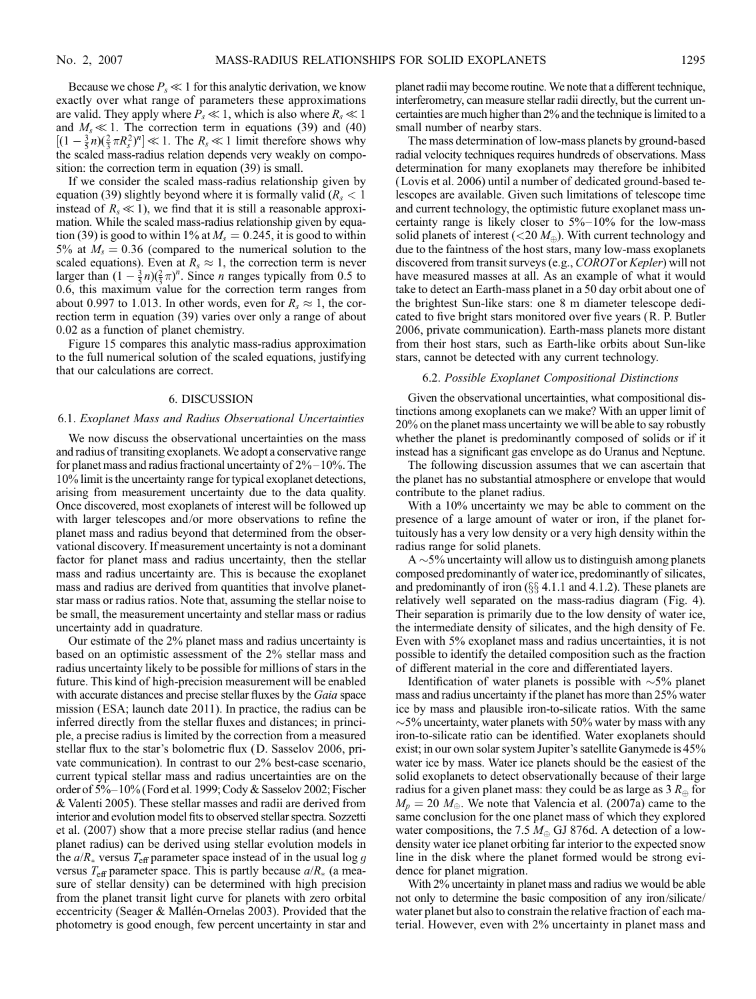Because we chose  $P_s \ll 1$  for this analytic derivation, we know exactly over what range of parameters these approximations are valid. They apply where  $P_s \ll 1$ , which is also where  $R_s \ll 1$ and  $M_s \ll 1$ . The correction term in equations (39) and (40)  $[(1 - \frac{3}{5}n)(\frac{2}{3}\pi R_s^2)^n] \ll 1$ . The  $R_s \ll 1$  limit therefore shows why the scaled mass-radius relation depends very weakly on composition: the correction term in equation (39) is small.

If we consider the scaled mass-radius relationship given by equation (39) slightly beyond where it is formally valid ( $R_s < 1$ ) instead of  $R_s \ll 1$ ), we find that it is still a reasonable approximation. While the scaled mass-radius relationship given by equation (39) is good to within 1% at  $M_s = 0.245$ , it is good to within 5% at  $M_s = 0.36$  (compared to the numerical solution to the scaled equations). Even at  $R_s \approx 1$ , the correction term is never larger than  $(1 - \frac{3}{5}n)(\frac{2}{3}\pi)^n$ . Since *n* ranges typically from 0.5 to 0.6, this maximum value for the correction term ranges from about 0.997 to 1.013. In other words, even for  $R_s \approx 1$ , the correction term in equation (39) varies over only a range of about 0.02 as a function of planet chemistry.

Figure 15 compares this analytic mass-radius approximation to the full numerical solution of the scaled equations, justifying that our calculations are correct.

#### 6. DISCUSSION

#### 6.1. Exoplanet Mass and Radius Observational Uncertainties

We now discuss the observational uncertainties on the mass and radius of transiting exoplanets. We adopt a conservative range for planet mass and radius fractional uncertainty of  $2\%-10\%$ . The 10% limit is the uncertainty range for typical exoplanet detections, arising from measurement uncertainty due to the data quality. Once discovered, most exoplanets of interest will be followed up with larger telescopes and/or more observations to refine the planet mass and radius beyond that determined from the observational discovery. If measurement uncertainty is not a dominant factor for planet mass and radius uncertainty, then the stellar mass and radius uncertainty are. This is because the exoplanet mass and radius are derived from quantities that involve planetstar mass or radius ratios. Note that, assuming the stellar noise to be small, the measurement uncertainty and stellar mass or radius uncertainty add in quadrature.

Our estimate of the 2% planet mass and radius uncertainty is based on an optimistic assessment of the 2% stellar mass and radius uncertainty likely to be possible for millions of stars in the future. This kind of high-precision measurement will be enabled with accurate distances and precise stellar fluxes by the *Gaia* space mission (ESA; launch date 2011). In practice, the radius can be inferred directly from the stellar fluxes and distances; in principle, a precise radius is limited by the correction from a measured stellar flux to the star's bolometric flux (D. Sasselov 2006, private communication). In contrast to our 2% best-case scenario, current typical stellar mass and radius uncertainties are on the order of 5%-10% (Ford et al. 1999; Cody & Sasselov 2002; Fischer & Valenti 2005). These stellar masses and radii are derived from interior and evolution model fits to observed stellar spectra. Sozzetti et al. (2007) show that a more precise stellar radius (and hence planet radius) can be derived using stellar evolution models in the  $a/R_*$  versus  $T_{\text{eff}}$  parameter space instead of in the usual log g versus  $T_{\text{eff}}$  parameter space. This is partly because  $a/R_*$  (a measure of stellar density) can be determined with high precision from the planet transit light curve for planets with zero orbital eccentricity (Seager  $&$  Mallén-Ornelas 2003). Provided that the photometry is good enough, few percent uncertainty in star and planet radii may become routine. We note that a different technique, interferometry, can measure stellar radii directly, but the current uncertainties are much higher than 2% and the technique is limited to a small number of nearby stars.

The mass determination of low-mass planets by ground-based radial velocity techniques requires hundreds of observations. Mass determination for many exoplanets may therefore be inhibited (Lovis et al. 2006) until a number of dedicated ground-based telescopes are available. Given such limitations of telescope time and current technology, the optimistic future exoplanet mass uncertainty range is likely closer to  $5\% - 10\%$  for the low-mass solid planets of interest ( $\langle 20 M_{\oplus} \rangle$ ). With current technology and due to the faintness of the host stars, many low-mass exoplanets discovered from transit surveys (e.g., COROTor Kepler) will not have measured masses at all. As an example of what it would take to detect an Earth-mass planet in a 50 day orbit about one of the brightest Sun-like stars: one 8 m diameter telescope dedicated to five bright stars monitored over five years (R. P. Butler 2006, private communication). Earth-mass planets more distant from their host stars, such as Earth-like orbits about Sun-like stars, cannot be detected with any current technology.

#### 6.2. Possible Exoplanet Compositional Distinctions

Given the observational uncertainties, what compositional distinctions among exoplanets can we make? With an upper limit of 20% on the planet mass uncertainty we will be able to say robustly whether the planet is predominantly composed of solids or if it instead has a significant gas envelope as do Uranus and Neptune.

The following discussion assumes that we can ascertain that the planet has no substantial atmosphere or envelope that would contribute to the planet radius.

With a 10% uncertainty we may be able to comment on the presence of a large amount of water or iron, if the planet fortuitously has a very low density or a very high density within the radius range for solid planets.

 $A \sim 5\%$  uncertainty will allow us to distinguish among planets composed predominantly of water ice, predominantly of silicates, and predominantly of iron  $(\S \S 4.1.1$  and 4.1.2). These planets are relatively well separated on the mass-radius diagram (Fig. 4). Their separation is primarily due to the low density of water ice, the intermediate density of silicates, and the high density of Fe. Even with 5% exoplanet mass and radius uncertainties, it is not possible to identify the detailed composition such as the fraction of different material in the core and differentiated layers.

Identification of water planets is possible with  $\sim$ 5% planet mass and radius uncertainty if the planet has more than 25% water ice by mass and plausible iron-to-silicate ratios. With the same  $\sim$ 5% uncertainty, water planets with 50% water by mass with any iron-to-silicate ratio can be identified. Water exoplanets should exist; in our own solar system Jupiter's satellite Ganymede is 45% water ice by mass. Water ice planets should be the easiest of the solid exoplanets to detect observationally because of their large radius for a given planet mass: they could be as large as 3  $R_{\oplus}$  for  $M_p = 20$   $M_\oplus$ . We note that Valencia et al. (2007a) came to the same conclusion for the one planet mass of which they explored water compositions, the 7.5  $M_{\oplus}$  GJ 876d. A detection of a lowdensity water ice planet orbiting far interior to the expected snow line in the disk where the planet formed would be strong evidence for planet migration.

With 2% uncertainty in planet mass and radius we would be able not only to determine the basic composition of any iron/silicate/ water planet but also to constrain the relative fraction of each material. However, even with 2% uncertainty in planet mass and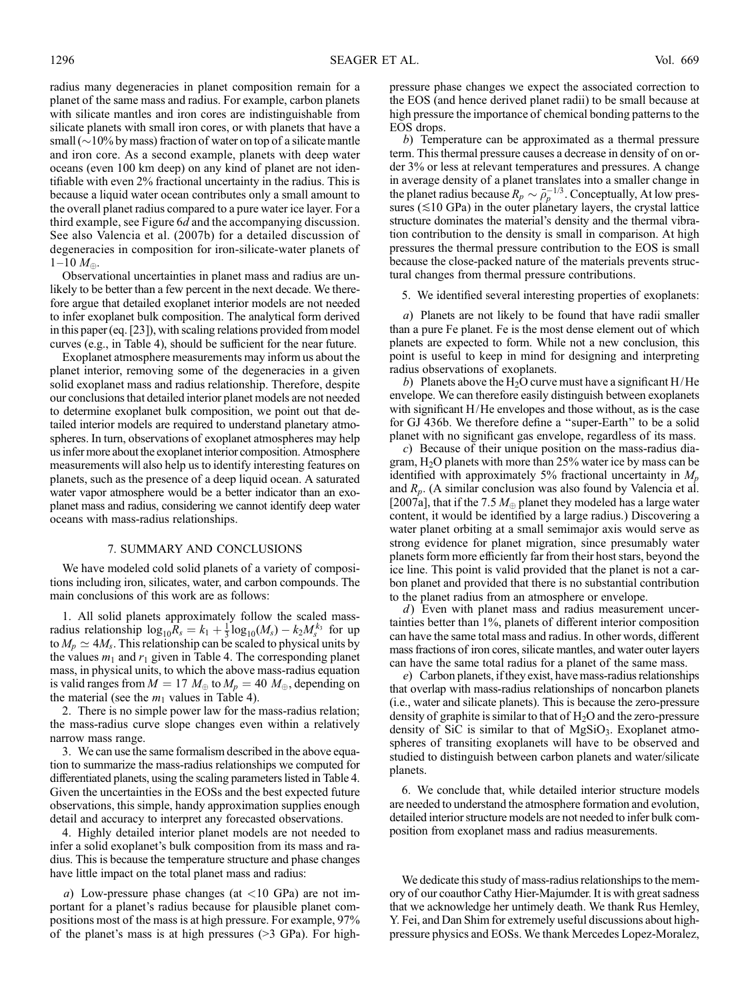radius many degeneracies in planet composition remain for a planet of the same mass and radius. For example, carbon planets with silicate mantles and iron cores are indistinguishable from silicate planets with small iron cores, or with planets that have a small ( $\sim$ 10% by mass) fraction of water on top of a silicate mantle and iron core. As a second example, planets with deep water oceans (even 100 km deep) on any kind of planet are not identifiable with even 2% fractional uncertainty in the radius. This is because a liquid water ocean contributes only a small amount to the overall planet radius compared to a pure water ice layer. For a third example, see Figure 6d and the accompanying discussion. See also Valencia et al. (2007b) for a detailed discussion of degeneracies in composition for iron-silicate-water planets of  $1-10 M_{\odot}$ .

Observational uncertainties in planet mass and radius are unlikely to be better than a few percent in the next decade. We therefore argue that detailed exoplanet interior models are not needed to infer exoplanet bulk composition. The analytical form derived in this paper (eq. [23]), with scaling relations provided from model curves (e.g., in Table 4), should be sufficient for the near future.

Exoplanet atmosphere measurements may inform us about the planet interior, removing some of the degeneracies in a given solid exoplanet mass and radius relationship. Therefore, despite our conclusions that detailed interior planet models are not needed to determine exoplanet bulk composition, we point out that detailed interior models are required to understand planetary atmospheres. In turn, observations of exoplanet atmospheres may help us infer more about the exoplanet interior composition. Atmosphere measurements will also help us to identify interesting features on planets, such as the presence of a deep liquid ocean. A saturated water vapor atmosphere would be a better indicator than an exoplanet mass and radius, considering we cannot identify deep water oceans with mass-radius relationships.

### 7. SUMMARY AND CONCLUSIONS

We have modeled cold solid planets of a variety of compositions including iron, silicates, water, and carbon compounds. The main conclusions of this work are as follows:

1. All solid planets approximately follow the scaled massradius relationship  $log_{10}R_s = k_1 + \frac{1}{3}log_{10}(M_s) - k_2M_s^{k_3}$  for up to  $M_p \simeq 4M_s$ . This relationship can be scaled to physical units by the values  $m_1$  and  $r_1$  given in Table 4. The corresponding planet mass, in physical units, to which the above mass-radius equation is valid ranges from  $M = 17 M_{\oplus}$  to  $M_p = 40 M_{\oplus}$ , depending on the material (see the  $m_1$  values in Table 4).

2. There is no simple power law for the mass-radius relation; the mass-radius curve slope changes even within a relatively narrow mass range.

3. We can use the same formalism described in the above equation to summarize the mass-radius relationships we computed for differentiated planets, using the scaling parameters listed in Table 4. Given the uncertainties in the EOSs and the best expected future observations, this simple, handy approximation supplies enough detail and accuracy to interpret any forecasted observations.

4. Highly detailed interior planet models are not needed to infer a solid exoplanet's bulk composition from its mass and radius. This is because the temperature structure and phase changes have little impact on the total planet mass and radius:

a) Low-pressure phase changes (at  $\langle 10 \text{ GPa} \rangle$  are not important for a planet's radius because for plausible planet compositions most of the mass is at high pressure. For example, 97% of the planet's mass is at high pressures (>3 GPa). For highpressure phase changes we expect the associated correction to the EOS (and hence derived planet radii) to be small because at high pressure the importance of chemical bonding patterns to the EOS drops.

b) Temperature can be approximated as a thermal pressure term. This thermal pressure causes a decrease in density of on order 3% or less at relevant temperatures and pressures. A change in average density of a planet translates into a smaller change in the planet radius because  $R_p \sim \bar{\rho}_p^{-1/3}$ . Conceptually, At low pressures ( $\leq$ 10 GPa) in the outer planetary layers, the crystal lattice structure dominates the material's density and the thermal vibration contribution to the density is small in comparison. At high pressures the thermal pressure contribution to the EOS is small because the close-packed nature of the materials prevents structural changes from thermal pressure contributions.

5. We identified several interesting properties of exoplanets:

a) Planets are not likely to be found that have radii smaller than a pure Fe planet. Fe is the most dense element out of which planets are expected to form. While not a new conclusion, this point is useful to keep in mind for designing and interpreting radius observations of exoplanets.

b) Planets above the  $H_2O$  curve must have a significant H/He envelope. We can therefore easily distinguish between exoplanets with significant H/He envelopes and those without, as is the case for GJ 436b. We therefore define a ''super-Earth'' to be a solid planet with no significant gas envelope, regardless of its mass.

c) Because of their unique position on the mass-radius diagram,  $H_2O$  planets with more than 25% water ice by mass can be identified with approximately 5% fractional uncertainty in  $M_p$ and  $R_p$ . (A similar conclusion was also found by Valencia et al. [2007a], that if the 7.5  $M_{\oplus}$  planet they modeled has a large water content, it would be identified by a large radius.) Discovering a water planet orbiting at a small semimajor axis would serve as strong evidence for planet migration, since presumably water planets form more efficiently far from their host stars, beyond the ice line. This point is valid provided that the planet is not a carbon planet and provided that there is no substantial contribution to the planet radius from an atmosphere or envelope.

d) Even with planet mass and radius measurement uncertainties better than 1%, planets of different interior composition can have the same total mass and radius. In other words, different mass fractions of iron cores, silicate mantles, and water outer layers can have the same total radius for a planet of the same mass.

e) Carbon planets, if they exist, have mass-radius relationships that overlap with mass-radius relationships of noncarbon planets (i.e., water and silicate planets). This is because the zero-pressure density of graphite is similar to that of  $H_2O$  and the zero-pressure density of SiC is similar to that of  $MgSiO<sub>3</sub>$ . Exoplanet atmospheres of transiting exoplanets will have to be observed and studied to distinguish between carbon planets and water/silicate planets.

6. We conclude that, while detailed interior structure models are needed to understand the atmosphere formation and evolution, detailed interior structure models are not needed to infer bulk composition from exoplanet mass and radius measurements.

We dedicate this study of mass-radius relationships to the memory of our coauthor Cathy Hier-Majumder. It is with great sadness that we acknowledge her untimely death. We thank Rus Hemley, Y. Fei, and Dan Shim for extremely useful discussions about highpressure physics and EOSs. We thank Mercedes Lopez-Moralez,